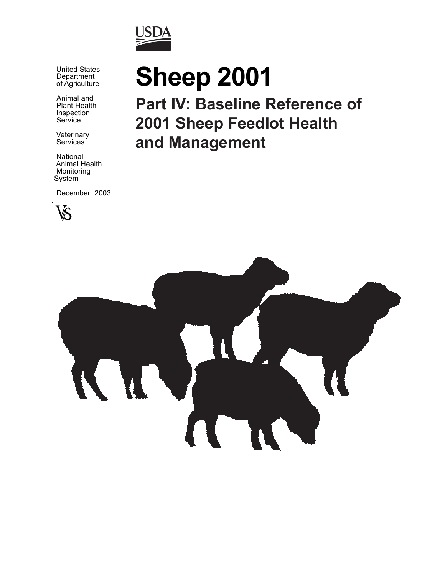

 United States Department of Agriculture

> Animal and Plant Health Inspection **Service**

**Veterinary** Services

 National Animal Health Monitoring System

December 2003



# **Sheep 2001**

**Part IV: Baseline Reference of 2001 Sheep Feedlot Health and Management**

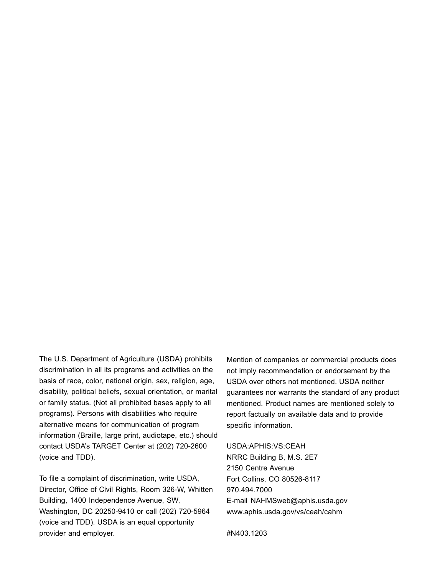The U.S. Department of Agriculture (USDA) prohibits discrimination in all its programs and activities on the basis of race, color, national origin, sex, religion, age, disability, political beliefs, sexual orientation, or marital or family status. (Not all prohibited bases apply to all programs). Persons with disabilities who require alternative means for communication of program information (Braille, large print, audiotape, etc.) should contact USDA's TARGET Center at (202) 720-2600 (voice and TDD).

To file a complaint of discrimination, write USDA, Director, Office of Civil Rights, Room 326-W, Whitten Building, 1400 Independence Avenue, SW, Washington, DC 20250-9410 or call (202) 720-5964 (voice and TDD). USDA is an equal opportunity provider and employer.

Mention of companies or commercial products does not imply recommendation or endorsement by the USDA over others not mentioned. USDA neither guarantees nor warrants the standard of any product mentioned. Product names are mentioned solely to report factually on available data and to provide specific information.

#### USDA:APHIS:VS:CEAH

NRRC Building B, M.S. 2E7 2150 Centre Avenue Fort Collins, CO 80526-8117 970.494.7000 E-mail NAHMSweb@aphis.usda.gov www.aphis.usda.gov/vs/ceah/cahm

#N403.1203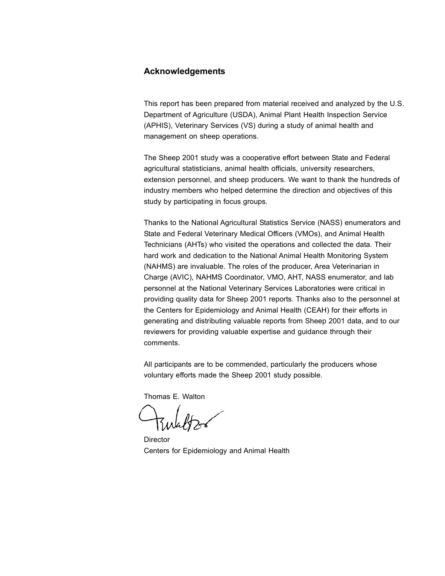#### **Acknowledgements**

This report has been prepared from material received and analyzed by the U.S. Department of Agriculture (USDA), Animal Plant Health Inspection Service (APHIS), Veterinary Services (VS) during a study of animal health and management on sheep operations.

The Sheep 2001 study was a cooperative effort between State and Federal agricultural statisticians, animal health officials, university researchers, extension personnel, and sheep producers. We want to thank the hundreds of industry members who helped determine the direction and objectives of this study by participating in focus groups.

Thanks to the National Agricultural Statistics Service (NASS) enumerators and State and Federal Veterinary Medical Officers (VMOs), and Animal Health Technicians (AHTs) who visited the operations and collected the data. Their hard work and dedication to the National Animal Health Monitoring System (NAHMS) are invaluable. The roles of the producer, Area Veterinarian in Charge (AVIC), NAHMS Coordinator, VMO, AHT, NASS enumerator, and lab personnel at the National Veterinary Services Laboratories were critical in providing quality data for Sheep 2001 reports. Thanks also to the personnel at the Centers for Epidemiology and Animal Health (CEAH) for their efforts in generating and distributing valuable reports from Sheep 2001 data, and to our reviewers for providing valuable expertise and guidance through their comments.

All participants are to be commended, particularly the producers whose voluntary efforts made the Sheep 2001 study possible.

Thomas E. Walton

Director Centers for Epidemiology and Animal Health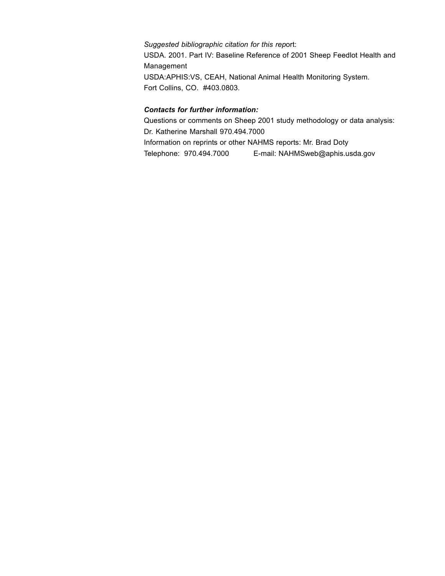*Suggested bibliographic citation for this rep*ort: USDA. 2001. Part IV: Baseline Reference of 2001 Sheep Feedlot Health and Management USDA:APHIS:VS, CEAH, National Animal Health Monitoring System. Fort Collins, CO. #403.0803.

#### *Contacts for further information:*

Questions or comments on Sheep 2001 study methodology or data analysis: Dr. Katherine Marshall 970.494.7000 Information on reprints or other NAHMS reports: Mr. Brad Doty Telephone: 970.494.7000 E-mail: NAHMSweb@aphis.usda.gov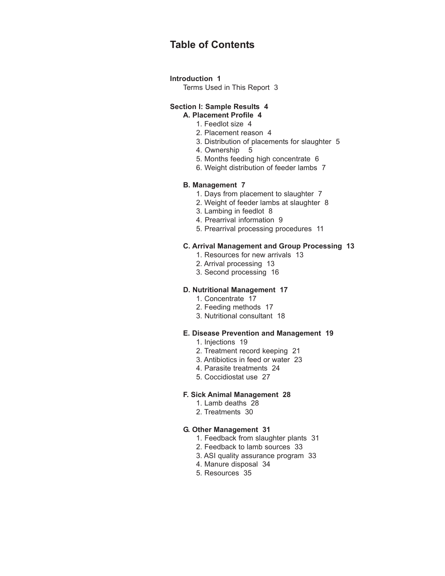### **Table of Contents**

#### **Introduction 1**

Terms Used in This Report 3

#### **Section I: Sample Results 4 A. Placement Profile 4**

- 1. Feedlot size 4
- 2. Placement reason 4
- 3. Distribution of placements for slaughter 5
- 4. Ownership 5
- 5. Months feeding high concentrate 6
- 6. Weight distribution of feeder lambs 7

#### **B. Management 7**

- 1. Days from placement to slaughter 7
- 2. Weight of feeder lambs at slaughter 8
- 3. Lambing in feedlot 8
- 4. Prearrival information 9
- 5. Prearrival processing procedures 11

#### **C. Arrival Management and Group Processing 13**

- 1. Resources for new arrivals 13
- 2. Arrival processing 13
- 3. Second processing 16

#### **D. Nutritional Management 17**

- 1. Concentrate 17
- 2. Feeding methods 17
- 3. Nutritional consultant 18

#### **E. Disease Prevention and Management 19**

- 1. Injections 19
- 2. Treatment record keeping 21
- 3. Antibiotics in feed or water 23
- 4. Parasite treatments 24
- 5. Coccidiostat use 27

#### **F. Sick Animal Management 28**

- 1. Lamb deaths 28
- 2. Treatments 30

#### **G. Other Management 31**

- 1. Feedback from slaughter plants 31
- 2. Feedback to lamb sources 33
- 3. ASI quality assurance program 33
- 4. Manure disposal 34
- 5. Resources 35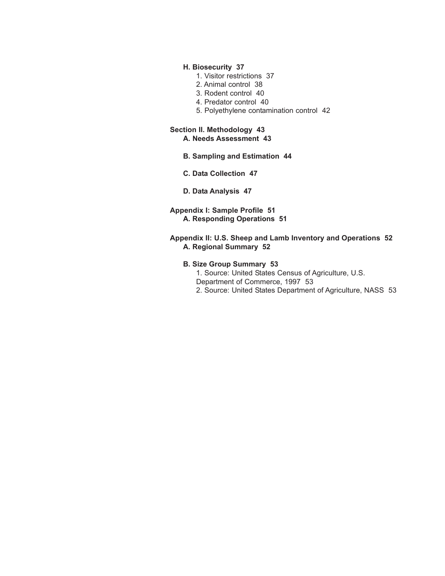#### **H. Biosecurity 37**

- 1. Visitor restrictions 37
- 2. Animal control 38
- 3. Rodent control 40
- 4. Predator control 40
- 5. Polyethylene contamination control 42

#### **Section II. Methodology 43 A. Needs Assessment 43**

- **B. Sampling and Estimation 44**
- **C. Data Collection 47**
- **D. Data Analysis 47**
- **Appendix I: Sample Profile 51 A. Responding Operations 51**

#### **Appendix II: U.S. Sheep and Lamb Inventory and Operations 52 A. Regional Summary 52**

#### **B. Size Group Summary 53**

1. Source: United States Census of Agriculture, U.S. Department of Commerce, 1997 53 2. Source: United States Department of Agriculture, NASS 53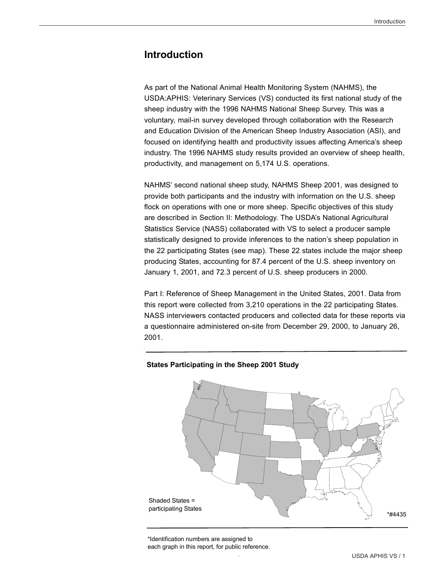#### **Introduction**

As part of the National Animal Health Monitoring System (NAHMS), the USDA:APHIS: Veterinary Services (VS) conducted its first national study of the sheep industry with the 1996 NAHMS National Sheep Survey. This was a voluntary, mail-in survey developed through collaboration with the Research and Education Division of the American Sheep Industry Association (ASI), and focused on identifying health and productivity issues affecting America's sheep industry. The 1996 NAHMS study results provided an overview of sheep health, productivity, and management on 5,174 U.S. operations.

NAHMS' second national sheep study, NAHMS Sheep 2001, was designed to provide both participants and the industry with information on the U.S. sheep flock on operations with one or more sheep. Specific objectives of this study are described in Section II: Methodology. The USDA's National Agricultural Statistics Service (NASS) collaborated with VS to select a producer sample statistically designed to provide inferences to the nation's sheep population in the 22 participating States (see map). These 22 states include the major sheep producing States, accounting for 87.4 percent of the U.S. sheep inventory on January 1, 2001, and 72.3 percent of U.S. sheep producers in 2000.

Part I: Reference of Sheep Management in the United States, 2001. Data from this report were collected from 3,210 operations in the 22 participating States. NASS interviewers contacted producers and collected data for these reports via a questionnaire administered on-site from December 29, 2000, to January 26, 2001.

# \*#4435 Shaded States = participating States

#### **States Participating in the Sheep 2001 Study**

\*Identification numbers are assigned to each graph in this report, for public reference.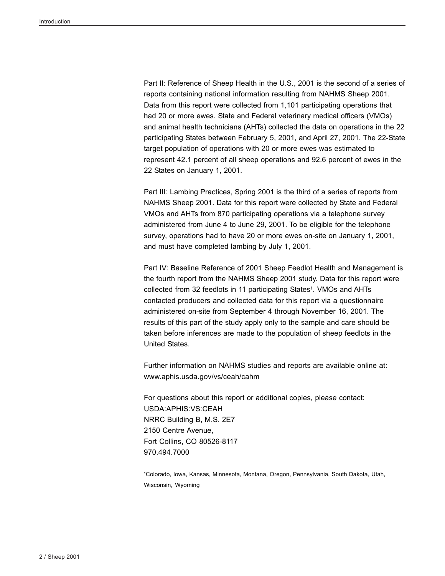Part II: Reference of Sheep Health in the U.S., 2001 is the second of a series of reports containing national information resulting from NAHMS Sheep 2001. Data from this report were collected from 1,101 participating operations that had 20 or more ewes. State and Federal veterinary medical officers (VMOs) and animal health technicians (AHTs) collected the data on operations in the 22 participating States between February 5, 2001, and April 27, 2001. The 22-State target population of operations with 20 or more ewes was estimated to represent 42.1 percent of all sheep operations and 92.6 percent of ewes in the 22 States on January 1, 2001.

Part III: Lambing Practices, Spring 2001 is the third of a series of reports from NAHMS Sheep 2001. Data for this report were collected by State and Federal VMOs and AHTs from 870 participating operations via a telephone survey administered from June 4 to June 29, 2001. To be eligible for the telephone survey, operations had to have 20 or more ewes on-site on January 1, 2001, and must have completed lambing by July 1, 2001.

Part IV: Baseline Reference of 2001 Sheep Feedlot Health and Management is the fourth report from the NAHMS Sheep 2001 study. Data for this report were collected from 32 feedlots in 11 participating States<sup>1</sup>. VMOs and AHTs contacted producers and collected data for this report via a questionnaire administered on-site from September 4 through November 16, 2001. The results of this part of the study apply only to the sample and care should be taken before inferences are made to the population of sheep feedlots in the United States.

Further information on NAHMS studies and reports are available online at: www.aphis.usda.gov/vs/ceah/cahm

For questions about this report or additional copies, please contact: USDA:APHIS:VS:CEAH NRRC Building B, M.S. 2E7 2150 Centre Avenue, Fort Collins, CO 80526-8117 970.494.7000

1 Colorado, Iowa, Kansas, Minnesota, Montana, Oregon, Pennsylvania, South Dakota, Utah, Wisconsin, Wyoming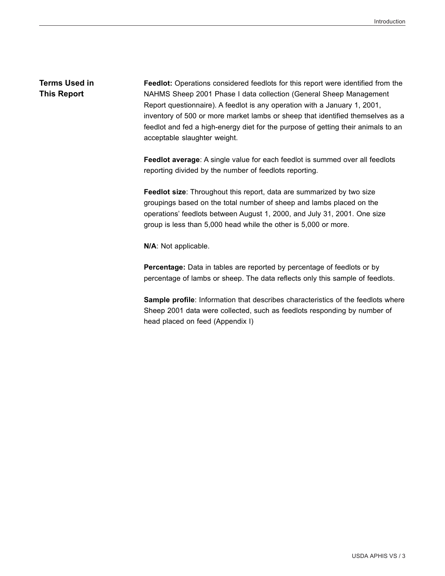#### **Terms Used in This Report**

**Feedlot:** Operations considered feedlots for this report were identified from the NAHMS Sheep 2001 Phase I data collection (General Sheep Management Report questionnaire). A feedlot is any operation with a January 1, 2001, inventory of 500 or more market lambs or sheep that identified themselves as a feedlot and fed a high-energy diet for the purpose of getting their animals to an acceptable slaughter weight.

**Feedlot average**: A single value for each feedlot is summed over all feedlots reporting divided by the number of feedlots reporting.

**Feedlot size**: Throughout this report, data are summarized by two size groupings based on the total number of sheep and lambs placed on the operations' feedlots between August 1, 2000, and July 31, 2001. One size group is less than 5,000 head while the other is 5,000 or more.

**N/A**: Not applicable.

**Percentage:** Data in tables are reported by percentage of feedlots or by percentage of lambs or sheep. The data reflects only this sample of feedlots.

**Sample profile**: Information that describes characteristics of the feedlots where Sheep 2001 data were collected, such as feedlots responding by number of head placed on feed (Appendix I)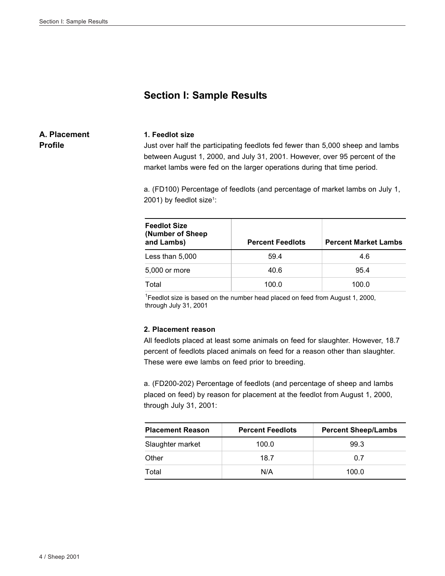#### **Section I: Sample Results**

#### **A. Placement Profile**

#### **1. Feedlot size**

Just over half the participating feedlots fed fewer than 5,000 sheep and lambs between August 1, 2000, and July 31, 2001. However, over 95 percent of the market lambs were fed on the larger operations during that time period.

a. (FD100) Percentage of feedlots (and percentage of market lambs on July 1, 2001) by feedlot size<sup>1</sup>:

| <b>Feedlot Size</b><br>(Number of Sheep)<br>and Lambs) | <b>Percent Feedlots</b> | <b>Percent Market Lambs</b> |
|--------------------------------------------------------|-------------------------|-----------------------------|
| Less than 5,000                                        | 59.4                    | 4.6                         |
| 5,000 or more                                          | 40.6                    | 95.4                        |
| Total                                                  | 100.0                   | 100.0                       |

<sup>1</sup> Feedlot size is based on the number head placed on feed from August 1, 2000, through July 31, 2001

#### **2. Placement reason**

All feedlots placed at least some animals on feed for slaughter. However, 18.7 percent of feedlots placed animals on feed for a reason other than slaughter. These were ewe lambs on feed prior to breeding.

a. (FD200-202) Percentage of feedlots (and percentage of sheep and lambs placed on feed) by reason for placement at the feedlot from August 1, 2000, through July 31, 2001:

| <b>Placement Reason</b> | <b>Percent Feedlots</b> | <b>Percent Sheep/Lambs</b> |
|-------------------------|-------------------------|----------------------------|
| Slaughter market        | 100.0                   | 99.3                       |
| Other                   | 18.7                    | 0 7                        |
| Total                   | N/A                     | 100.0                      |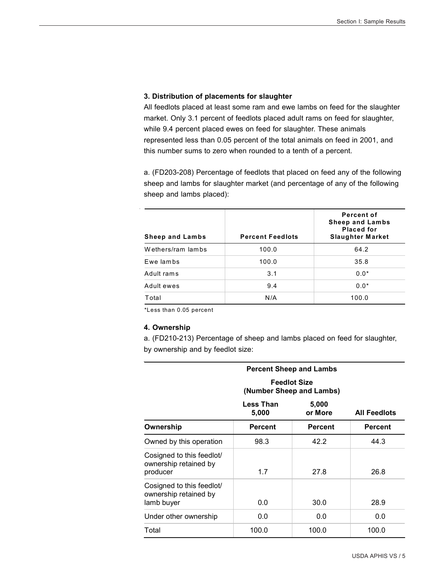#### **3. Distribution of placements for slaughter**

All feedlots placed at least some ram and ewe lambs on feed for the slaughter market. Only 3.1 percent of feedlots placed adult rams on feed for slaughter, while 9.4 percent placed ewes on feed for slaughter. These animals represented less than 0.05 percent of the total animals on feed in 2001, and this number sums to zero when rounded to a tenth of a percent.

a. (FD203-208) Percentage of feedlots that placed on feed any of the following sheep and lambs for slaughter market (and percentage of any of the following sheep and lambs placed):

| <b>Sheep and Lambs</b> | <b>Percent Feedlots</b> | Percent of<br><b>Sheep and Lambs</b><br><b>Placed for</b><br><b>Slaughter Market</b> |
|------------------------|-------------------------|--------------------------------------------------------------------------------------|
| Wethers/ram lambs      | 100.0                   | 64.2                                                                                 |
| Ewe lambs              | 100.0                   | 35.8                                                                                 |
| Adult rams             | 3.1                     | $0.0*$                                                                               |
| Adult ewes             | 9.4                     | $0.0*$                                                                               |
| Total                  | N/A                     | 100.0                                                                                |

\*Less than 0.05 percent

#### **4. Ownership**

a. (FD210-213) Percentage of sheep and lambs placed on feed for slaughter, by ownership and by feedlot size:

| <b>Percent Sheep and Lambs</b>                                   |                                                 |                  |                     |
|------------------------------------------------------------------|-------------------------------------------------|------------------|---------------------|
|                                                                  | <b>Feedlot Size</b><br>(Number Sheep and Lambs) |                  |                     |
|                                                                  | Less Than<br>5,000                              | 5,000<br>or More | <b>All Feedlots</b> |
| Ownership                                                        | <b>Percent</b>                                  | <b>Percent</b>   | <b>Percent</b>      |
| Owned by this operation                                          | 98.3                                            | 42.2             | 44.3                |
| Cosigned to this feedlot/<br>ownership retained by<br>producer   | 1.7                                             | 27.8             | 26.8                |
| Cosigned to this feedlot/<br>ownership retained by<br>lamb buyer | 0.0                                             | 30.0             | 28.9                |
| Under other ownership                                            | 0.0                                             | 0.0              | 0.0                 |
| Total                                                            | 100.0                                           | 100.0            | 100.0               |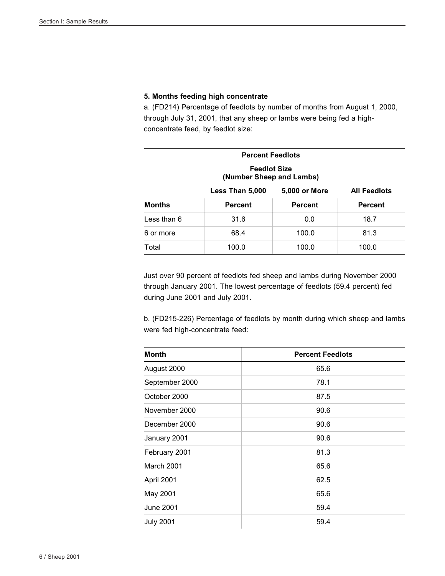#### **5. Months feeding high concentrate**

a. (FD214) Percentage of feedlots by number of months from August 1, 2000, through July 31, 2001, that any sheep or lambs were being fed a highconcentrate feed, by feedlot size:

| <b>Percent Feedlots</b>                                 |                |                |                |
|---------------------------------------------------------|----------------|----------------|----------------|
| <b>Feedlot Size</b><br>(Number Sheep and Lambs)         |                |                |                |
| 5,000 or More<br><b>All Feedlots</b><br>Less Than 5,000 |                |                |                |
| <b>Months</b>                                           | <b>Percent</b> | <b>Percent</b> | <b>Percent</b> |
| Less than 6                                             | 31.6           | 0.0            | 18.7           |
| 6 or more                                               | 68.4           | 100.0          | 81.3           |
| Total                                                   | 100.0          | 100.0          | 100.0          |

Just over 90 percent of feedlots fed sheep and lambs during November 2000 through January 2001. The lowest percentage of feedlots (59.4 percent) fed during June 2001 and July 2001.

b. (FD215-226) Percentage of feedlots by month during which sheep and lambs were fed high-concentrate feed:

| <b>Month</b>     | <b>Percent Feedlots</b> |
|------------------|-------------------------|
| August 2000      | 65.6                    |
| September 2000   | 78.1                    |
| October 2000     | 87.5                    |
| November 2000    | 90.6                    |
| December 2000    | 90.6                    |
| January 2001     | 90.6                    |
| February 2001    | 81.3                    |
| March 2001       | 65.6                    |
| April 2001       | 62.5                    |
| May 2001         | 65.6                    |
| June 2001        | 59.4                    |
| <b>July 2001</b> | 59.4                    |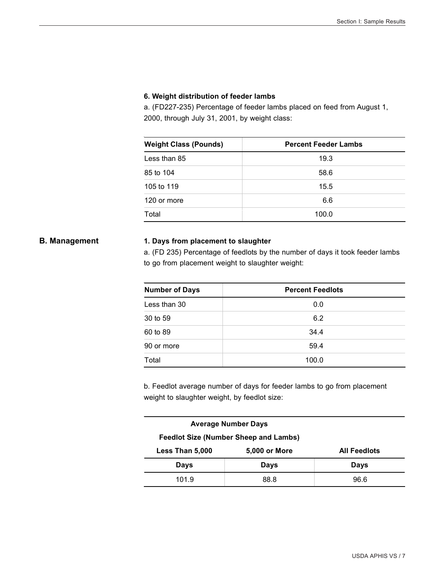#### **6. Weight distribution of feeder lambs**

a. (FD227-235) Percentage of feeder lambs placed on feed from August 1, 2000, through July 31, 2001, by weight class:

| <b>Weight Class (Pounds)</b> | <b>Percent Feeder Lambs</b> |
|------------------------------|-----------------------------|
| Less than 85                 | 19.3                        |
| 85 to 104                    | 58.6                        |
| 105 to 119                   | 15.5                        |
| 120 or more                  | 6.6                         |
| Total                        | 100.0                       |

#### **B. Management 1. Days from placement to slaughter**

a. (FD 235) Percentage of feedlots by the number of days it took feeder lambs to go from placement weight to slaughter weight:

| <b>Number of Days</b> | <b>Percent Feedlots</b> |  |
|-----------------------|-------------------------|--|
| Less than 30          | 0.0                     |  |
| 30 to 59              | 6.2                     |  |
| 60 to 89              | 34.4                    |  |
| 90 or more            | 59.4                    |  |
| Total                 | 100.0                   |  |

b. Feedlot average number of days for feeder lambs to go from placement weight to slaughter weight, by feedlot size:

| <b>Average Number Days</b>                   |                      |                     |
|----------------------------------------------|----------------------|---------------------|
| <b>Feedlot Size (Number Sheep and Lambs)</b> |                      |                     |
| Less Than 5,000                              | <b>5,000 or More</b> | <b>All Feedlots</b> |
| Days                                         | Days                 | Days                |
| 101.9                                        | 88.8                 | 96.6                |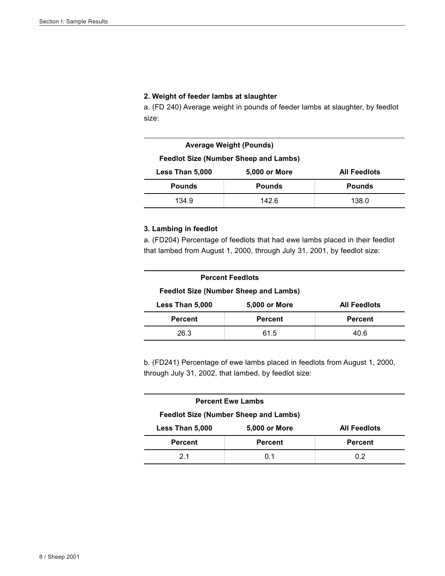#### **2. Weight of feeder lambs at slaughter**

a. (FD 240) Average weight in pounds of feeder lambs at slaughter, by feedlot size:

| Average Weight (Pounds)                      |                      |                     |
|----------------------------------------------|----------------------|---------------------|
| <b>Feedlot Size (Number Sheep and Lambs)</b> |                      |                     |
| Less Than 5,000                              | <b>5,000 or More</b> | <b>All Feedlots</b> |
| <b>Pounds</b>                                | <b>Pounds</b>        | <b>Pounds</b>       |
| 134.9                                        | 142.6                | 138.0               |

#### **3. Lambing in feedlot**

a. (FD204) Percentage of feedlots that had ewe lambs placed in their feedlot that lambed from August 1, 2000, through July 31, 2001, by feedlot size:

| <b>Percent Feedlots</b>                      |                |                     |
|----------------------------------------------|----------------|---------------------|
| <b>Feedlot Size (Number Sheep and Lambs)</b> |                |                     |
| Less Than 5,000                              | 5,000 or More  | <b>All Feedlots</b> |
| <b>Percent</b>                               | <b>Percent</b> | <b>Percent</b>      |
| 26.3                                         | 61.5           | 40.6                |

b. (FD241) Percentage of ewe lambs placed in feedlots from August 1, 2000, through July 31, 2002, that lambed, by feedlot size:

| <b>Percent Ewe Lambs</b>                     |                      |                     |
|----------------------------------------------|----------------------|---------------------|
| <b>Feedlot Size (Number Sheep and Lambs)</b> |                      |                     |
| Less Than 5,000                              | <b>5,000 or More</b> | <b>All Feedlots</b> |
| <b>Percent</b>                               | <b>Percent</b>       | <b>Percent</b>      |
| 21                                           | O 1                  | 0 2                 |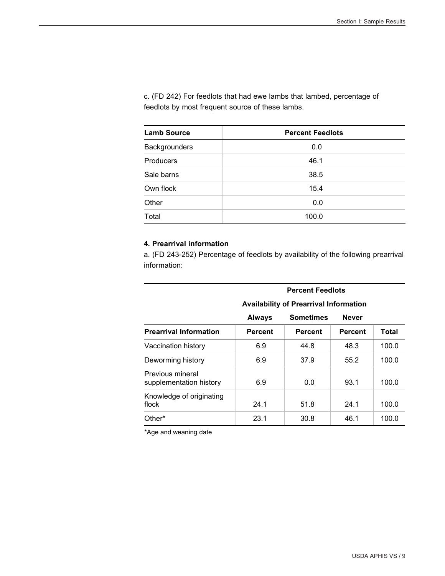c. (FD 242) For feedlots that had ewe lambs that lambed, percentage of feedlots by most frequent source of these lambs.

| <b>Lamb Source</b> | <b>Percent Feedlots</b> |
|--------------------|-------------------------|
| Backgrounders      | 0.0                     |
| <b>Producers</b>   | 46.1                    |
| Sale barns         | 38.5                    |
| Own flock          | 15.4                    |
| Other              | 0.0                     |
| Total              | 100.0                   |

#### **4. Prearrival information**

a. (FD 243-252) Percentage of feedlots by availability of the following prearrival information:

|                                             | <b>AVAIIADIIIIV OF PREAFFIVAL INTOFINATION</b> |                  |                |       |
|---------------------------------------------|------------------------------------------------|------------------|----------------|-------|
|                                             | <b>Always</b>                                  | <b>Sometimes</b> | <b>Never</b>   |       |
| <b>Prearrival Information</b>               | <b>Percent</b>                                 | <b>Percent</b>   | <b>Percent</b> | Total |
| Vaccination history                         | 6.9                                            | 44.8             | 48.3           | 100.0 |
| Deworming history                           | 6.9                                            | 37.9             | 55.2           | 100.0 |
| Previous mineral<br>supplementation history | 6.9                                            | 0.0              | 93.1           | 100.0 |
| Knowledge of originating<br>flock           | 24.1                                           | 51.8             | 24.1           | 100.0 |
| Other*                                      | 23.1                                           | 30.8             | 46.1           | 100.0 |

#### **Availability of Prearrival Information**

 **Percent Feedlots** 

\*Age and weaning date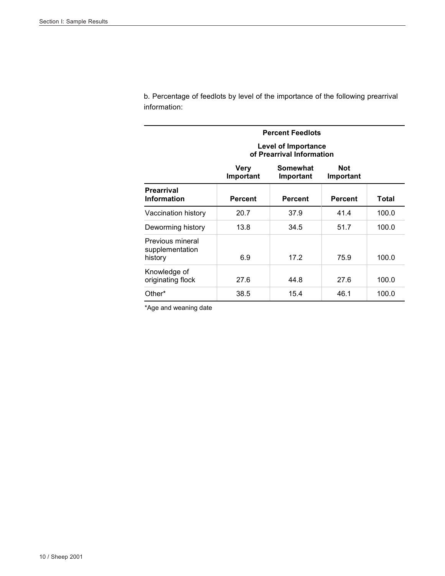b. Percentage of feedlots by level of the importance of the following prearrival information:

| <b>Percent Feedlots</b>                        |                   |                                                  |                         |       |
|------------------------------------------------|-------------------|--------------------------------------------------|-------------------------|-------|
|                                                |                   | Level of Importance<br>of Prearrival Information |                         |       |
|                                                | Very<br>Important | Somewhat<br>Important                            | <b>Not</b><br>Important |       |
| <b>Prearrival</b><br><b>Information</b>        | <b>Percent</b>    | <b>Percent</b>                                   | <b>Percent</b>          | Total |
| Vaccination history                            | 20.7              | 37.9                                             | 41.4                    | 100.0 |
| Deworming history                              | 13.8              | 34.5                                             | 51.7                    | 100.0 |
| Previous mineral<br>supplementation<br>history | 6.9               | 17.2                                             | 75.9                    | 100.0 |
| Knowledge of<br>originating flock              | 27.6              | 44.8                                             | 27.6                    | 100.0 |
| Other*                                         | 38.5              | 15.4                                             | 46.1                    | 100.0 |

\*Age and weaning date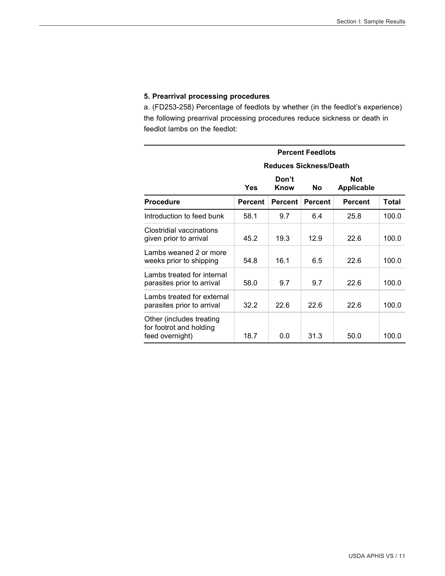#### **5. Prearrival processing procedures**

a. (FD253-258) Percentage of feedlots by whether (in the feedlot's experience) the following prearrival processing procedures reduce sickness or death in feedlot lambs on the feedlot:

|                                                                        | <b>Percent Feedlots</b> |                               |                |                                 |       |
|------------------------------------------------------------------------|-------------------------|-------------------------------|----------------|---------------------------------|-------|
|                                                                        |                         | <b>Reduces Sickness/Death</b> |                |                                 |       |
|                                                                        | <b>Yes</b>              | Don't<br>Know                 | <b>No</b>      | <b>Not</b><br><b>Applicable</b> |       |
| <b>Procedure</b>                                                       | Percent                 | <b>Percent</b>                | <b>Percent</b> | <b>Percent</b>                  | Total |
| Introduction to feed bunk                                              | 58.1                    | 9.7                           | 6.4            | 25.8                            | 100.0 |
| Clostridial vaccinations<br>given prior to arrival                     | 45.2                    | 19.3                          | 12.9           | 22.6                            | 100.0 |
| Lambs weaned 2 or more<br>weeks prior to shipping                      | 54.8                    | 16.1                          | 6.5            | 22.6                            | 100.0 |
| Lambs treated for internal<br>parasites prior to arrival               | 58.0                    | 9.7                           | 9.7            | 22.6                            | 100.0 |
| Lambs treated for external<br>parasites prior to arrival               | 32.2                    | 22.6                          | 22.6           | 22.6                            | 100.0 |
| Other (includes treating<br>for footrot and holding<br>feed overnight) | 18.7                    | 0.0                           | 31.3           | 50.0                            | 100.0 |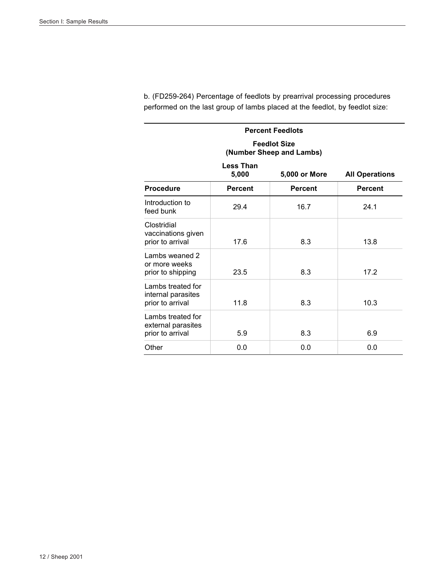| <b>Percent Feedlots</b>                                     |                                                                     |                                                 |                |  |  |
|-------------------------------------------------------------|---------------------------------------------------------------------|-------------------------------------------------|----------------|--|--|
|                                                             |                                                                     | <b>Feedlot Size</b><br>(Number Sheep and Lambs) |                |  |  |
|                                                             | <b>Less Than</b><br>5,000<br>5,000 or More<br><b>All Operations</b> |                                                 |                |  |  |
| <b>Procedure</b>                                            | <b>Percent</b>                                                      | <b>Percent</b>                                  | <b>Percent</b> |  |  |
| Introduction to<br>feed bunk                                | 29.4                                                                | 16.7                                            | 24.1           |  |  |
| Clostridial<br>vaccinations given<br>prior to arrival       | 17.6                                                                | 8.3                                             | 13.8           |  |  |
| Lambs weaned 2<br>or more weeks<br>prior to shipping        | 23.5                                                                | 8.3                                             | 17.2           |  |  |
| Lambs treated for<br>internal parasites<br>prior to arrival | 11.8                                                                | 8.3                                             | 10.3           |  |  |
| Lambs treated for<br>external parasites<br>prior to arrival | 5.9                                                                 | 8.3                                             | 6.9            |  |  |
| Other                                                       | 0.0                                                                 | 0.0                                             | 0.0            |  |  |

b. (FD259-264) Percentage of feedlots by prearrival processing procedures performed on the last group of lambs placed at the feedlot, by feedlot size: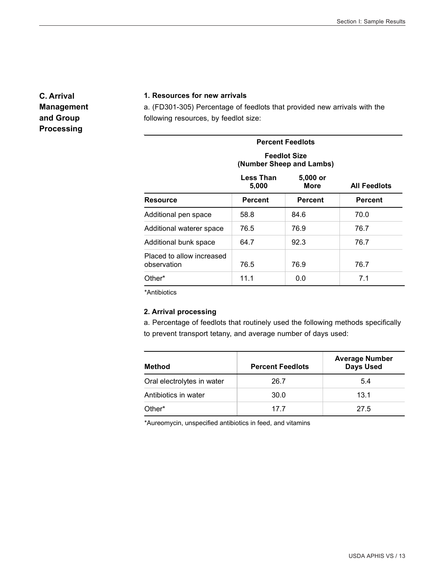**C. Arrival Management and Group Processing**

#### **1. Resources for new arrivals**

a. (FD301-305) Percentage of feedlots that provided new arrivals with the following resources, by feedlot size:

#### **Percent Feedlots Feedlot Size (Number Sheep and Lambs) Less Than 5,000 5,000 or More All Feedlots Resource Percent Percent Percent Percent**

| RESUULUG                                 | ו פו טפוונ | ו פוטפוונ | ו פו טפוונ |
|------------------------------------------|------------|-----------|------------|
| Additional pen space                     | 58.8       | 84.6      | 70.0       |
| Additional waterer space                 | 76.5       | 76.9      | 76.7       |
| Additional bunk space                    | 64.7       | 92.3      | 76.7       |
| Placed to allow increased<br>observation | 76.5       | 76.9      | 76.7       |
| Other*                                   | 11.1       | 0.0       | 7.1        |

\*Antibiotics

#### **2. Arrival processing**

a. Percentage of feedlots that routinely used the following methods specifically to prevent transport tetany, and average number of days used:

| Method                     | <b>Percent Feedlots</b> | <b>Average Number</b><br><b>Days Used</b> |
|----------------------------|-------------------------|-------------------------------------------|
| Oral electrolytes in water | 26.7                    | 5.4                                       |
| Antibiotics in water       | 30.0                    | 13.1                                      |
| Other*                     | 17 7                    | 27.5                                      |

\*Aureomycin, unspecified antibiotics in feed, and vitamins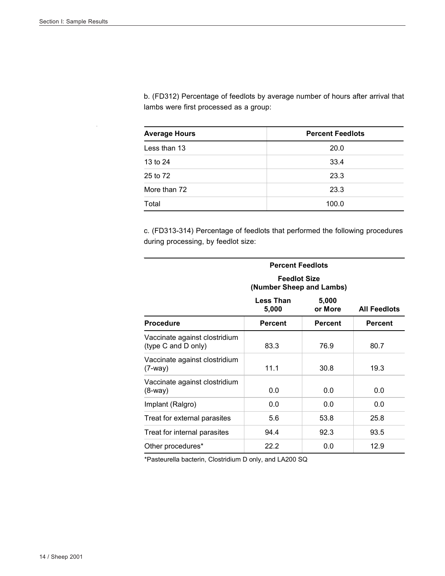b. (FD312) Percentage of feedlots by average number of hours after arrival that lambs were first processed as a group:

| <b>Average Hours</b> | <b>Percent Feedlots</b> |
|----------------------|-------------------------|
| Less than 13         | 20.0                    |
| 13 to 24             | 33.4                    |
| 25 to 72             | 23.3                    |
| More than 72         | 23.3                    |
| Total                | 100.0                   |

c. (FD313-314) Percentage of feedlots that performed the following procedures during processing, by feedlot size:

|                                                      | <b>Percent Feedlots</b>                         |                  |                     |  |
|------------------------------------------------------|-------------------------------------------------|------------------|---------------------|--|
|                                                      | <b>Feedlot Size</b><br>(Number Sheep and Lambs) |                  |                     |  |
|                                                      | <b>Less Than</b><br>5,000                       | 5,000<br>or More | <b>All Feedlots</b> |  |
| <b>Procedure</b>                                     | <b>Percent</b>                                  | <b>Percent</b>   | <b>Percent</b>      |  |
| Vaccinate against clostridium<br>(type C and D only) | 83.3                                            | 76.9             | 80.7                |  |
| Vaccinate against clostridium<br>$(7-way)$           | 11.1                                            | 30.8             | 19.3                |  |
| Vaccinate against clostridium<br>$(8-Way)$           | 0.0                                             | 0.0              | 0.0                 |  |
| Implant (Ralgro)                                     | 0.0                                             | 0.0              | 0.0                 |  |
| Treat for external parasites                         | 5.6                                             | 53.8             | 25.8                |  |
| Treat for internal parasites                         | 94.4                                            | 92.3             | 93.5                |  |
| Other procedures*                                    | 22.2                                            | 0.0              | 12.9                |  |

\*Pasteurella bacterin, Clostridium D only, and LA200 SQ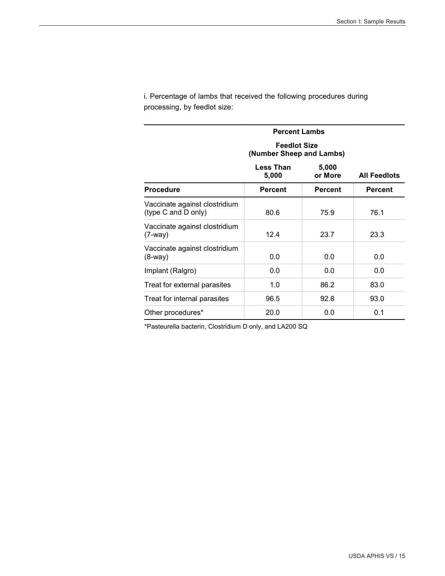i. Percentage of lambs that received the following procedures during processing, by feedlot size:

| <b>Percent Lambs</b>                                 |                                                 |                  |                     |
|------------------------------------------------------|-------------------------------------------------|------------------|---------------------|
|                                                      | <b>Feedlot Size</b><br>(Number Sheep and Lambs) |                  |                     |
|                                                      | <b>Less Than</b><br>5,000                       | 5,000<br>or More | <b>All Feedlots</b> |
| <b>Procedure</b>                                     | <b>Percent</b>                                  | <b>Percent</b>   | <b>Percent</b>      |
| Vaccinate against clostridium<br>(type C and D only) | 80.6                                            | 75.9             | 76.1                |
| Vaccinate against clostridium<br>$(7-way)$           | 12.4                                            | 23.7             | 23.3                |
| Vaccinate against clostridium<br>(8-way)             | 0.0                                             | 0.0              | 0.0                 |
| Implant (Ralgro)                                     | 0.0                                             | 0.0              | 0.0                 |
| Treat for external parasites                         | 1.0                                             | 86.2             | 83.0                |
| Treat for internal parasites                         | 96.5                                            | 92.8             | 93.0                |
| Other procedures*                                    | 20.0                                            | 0.0              | 0.1                 |

\*Pasteurella bacterin, Clostridium D only, and LA200 SQ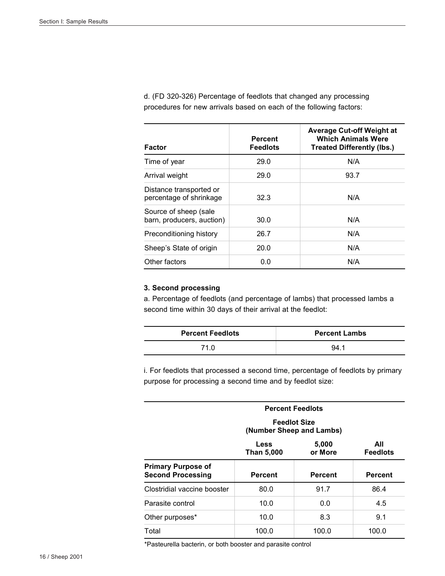d. (FD 320-326) Percentage of feedlots that changed any processing procedures for new arrivals based on each of the following factors:

| Factor                                             | <b>Percent</b><br><b>Feedlots</b> | <b>Average Cut-off Weight at</b><br><b>Which Animals Were</b><br><b>Treated Differently (lbs.)</b> |
|----------------------------------------------------|-----------------------------------|----------------------------------------------------------------------------------------------------|
| Time of year                                       | 29.0                              | N/A                                                                                                |
| Arrival weight                                     | 29.0                              | 93.7                                                                                               |
| Distance transported or<br>percentage of shrinkage | 32.3                              | N/A                                                                                                |
| Source of sheep (sale<br>barn, producers, auction) | 30.0                              | N/A                                                                                                |
| Preconditioning history                            | 26.7                              | N/A                                                                                                |
| Sheep's State of origin                            | 20.0                              | N/A                                                                                                |
| Other factors                                      | 0.0                               | N/A                                                                                                |

#### **3. Second processing**

a. Percentage of feedlots (and percentage of lambs) that processed lambs a second time within 30 days of their arrival at the feedlot:

| <b>Percent Feedlots</b> | <b>Percent Lambs</b> |
|-------------------------|----------------------|
| 71.0                    | 94.1                 |

i. For feedlots that processed a second time, percentage of feedlots by primary purpose for processing a second time and by feedlot size:

|                                                       | <b>Percent Feedlots</b>                         |                  |                        |  |
|-------------------------------------------------------|-------------------------------------------------|------------------|------------------------|--|
|                                                       | <b>Feedlot Size</b><br>(Number Sheep and Lambs) |                  |                        |  |
|                                                       | <b>Less</b><br><b>Than 5,000</b>                | 5,000<br>or More | All<br><b>Feedlots</b> |  |
| <b>Primary Purpose of</b><br><b>Second Processing</b> | <b>Percent</b>                                  | <b>Percent</b>   | <b>Percent</b>         |  |
| Clostridial vaccine booster                           | 80.0                                            | 91.7             | 86.4                   |  |
| Parasite control                                      | 10.0                                            | 0.0              | 4.5                    |  |
| Other purposes*                                       | 10.0                                            | 8.3              | 9.1                    |  |
| Total                                                 | 100.0                                           | 100.0            | 100.0                  |  |

\*Pasteurella bacterin, or both booster and parasite control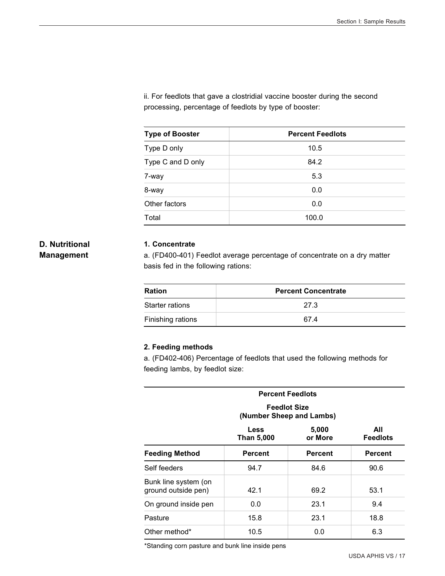ii. For feedlots that gave a clostridial vaccine booster during the second processing, percentage of feedlots by type of booster:

| <b>Type of Booster</b> | <b>Percent Feedlots</b> |  |  |
|------------------------|-------------------------|--|--|
| Type D only            | 10.5                    |  |  |
| Type C and D only      | 84.2                    |  |  |
| 7-way                  | 5.3                     |  |  |
| 8-way                  | 0.0                     |  |  |
| Other factors          | 0.0                     |  |  |
| Total                  | 100.0                   |  |  |

#### **D. Nutritional Management**

#### **1. Concentrate**

a. (FD400-401) Feedlot average percentage of concentrate on a dry matter basis fed in the following rations:

| <b>Ration</b>     | <b>Percent Concentrate</b> |  |  |
|-------------------|----------------------------|--|--|
| Starter rations   | 27.3                       |  |  |
| Finishing rations | 674                        |  |  |

#### **2. Feeding methods**

a. (FD402-406) Percentage of feedlots that used the following methods for feeding lambs, by feedlot size:

| <b>Percent Feedlots</b>                     |                                                 |                  |                        |  |
|---------------------------------------------|-------------------------------------------------|------------------|------------------------|--|
|                                             | <b>Feedlot Size</b><br>(Number Sheep and Lambs) |                  |                        |  |
|                                             | Less<br>Than 5,000                              | 5,000<br>or More | All<br><b>Feedlots</b> |  |
| <b>Feeding Method</b>                       | Percent                                         | <b>Percent</b>   | <b>Percent</b>         |  |
| Self feeders                                | 94.7                                            | 84.6             | 90.6                   |  |
| Bunk line system (on<br>ground outside pen) | 42.1                                            | 69.2             | 53.1                   |  |
| On ground inside pen                        | 0.0                                             | 23.1             | 9.4                    |  |
| Pasture                                     | 15.8                                            | 23.1             | 18.8                   |  |
| Other method*                               | 10.5                                            | 0.0              | 6.3                    |  |

\*Standing corn pasture and bunk line inside pens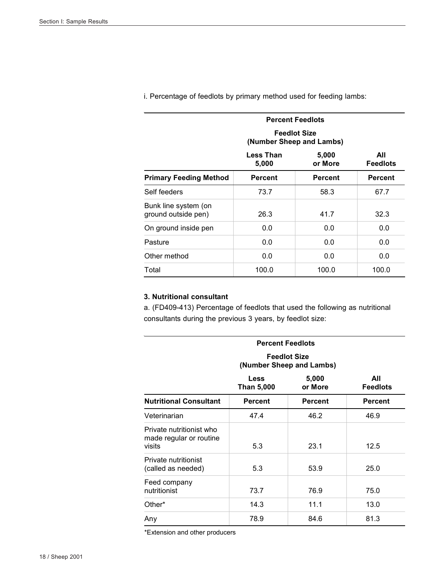| <b>Percent Feedlots</b>                     |                                                                  |                |                |  |  |
|---------------------------------------------|------------------------------------------------------------------|----------------|----------------|--|--|
|                                             | <b>Feedlot Size</b><br>(Number Sheep and Lambs)                  |                |                |  |  |
|                                             | 5,000<br>All<br>Less Than<br>5,000<br>or More<br><b>Feedlots</b> |                |                |  |  |
| <b>Primary Feeding Method</b>               | <b>Percent</b>                                                   | <b>Percent</b> | <b>Percent</b> |  |  |
| Self feeders                                | 73.7                                                             | 58.3           | 67.7           |  |  |
| Bunk line system (on<br>ground outside pen) | 26.3                                                             | 41.7           | 32.3           |  |  |
| On ground inside pen                        | 0.0                                                              | 0.0            | 0.0            |  |  |
| Pasture                                     | 0.0                                                              | 0.0            | 0.0            |  |  |
| Other method                                | 0.0                                                              | 0.0            | 0.0            |  |  |
| Total                                       | 100.0                                                            | 100.0          | 100.0          |  |  |

i. Percentage of feedlots by primary method used for feeding lambs:

#### **3. Nutritional consultant**

a. (FD409-413) Percentage of feedlots that used the following as nutritional consultants during the previous 3 years, by feedlot size:

| <b>Percent Feedlots</b>                                       |                                                 |                  |                        |  |
|---------------------------------------------------------------|-------------------------------------------------|------------------|------------------------|--|
|                                                               | <b>Feedlot Size</b><br>(Number Sheep and Lambs) |                  |                        |  |
|                                                               | <b>Less</b><br>Than 5,000                       | 5,000<br>or More | All<br><b>Feedlots</b> |  |
| <b>Nutritional Consultant</b>                                 | <b>Percent</b>                                  | <b>Percent</b>   | <b>Percent</b>         |  |
| Veterinarian                                                  | 47.4                                            | 46.2             | 46.9                   |  |
| Private nutritionist who<br>made regular or routine<br>visits | 5.3                                             | 23.1             | 12.5                   |  |
| Private nutritionist<br>(called as needed)                    | 5.3                                             | 53.9             | 25.0                   |  |
| Feed company<br>nutritionist                                  | 73.7                                            | 76.9             | 75.0                   |  |
| Other*                                                        | 14.3                                            | 11.1             | 13.0                   |  |
| Any                                                           | 78.9                                            | 84.6             | 81.3                   |  |

\*Extension and other producers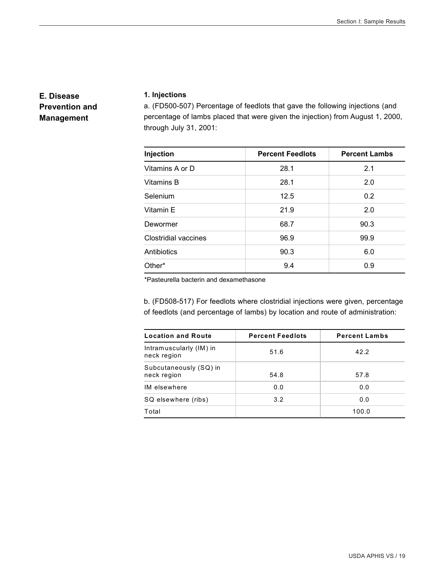#### **E. Disease Prevention and Management**

#### **1. Injections**

a. (FD500-507) Percentage of feedlots that gave the following injections (and percentage of lambs placed that were given the injection) from August 1, 2000, through July 31, 2001:

| Injection                   | <b>Percent Feedlots</b> | <b>Percent Lambs</b> |  |
|-----------------------------|-------------------------|----------------------|--|
| Vitamins A or D             | 28.1                    | 2.1                  |  |
| Vitamins B                  | 28.1                    | 2.0                  |  |
| Selenium                    | 12.5                    | 0.2                  |  |
| Vitamin E                   | 21.9                    | 2.0                  |  |
| Dewormer                    | 68.7                    | 90.3                 |  |
| <b>Clostridial vaccines</b> | 96.9                    | 99.9                 |  |
| Antibiotics                 | 90.3                    | 6.0                  |  |
| Other*                      | 9.4                     | 0.9                  |  |

\*Pasteurella bacterin and dexamethasone

b. (FD508-517) For feedlots where clostridial injections were given, percentage of feedlots (and percentage of lambs) by location and route of administration:

| <b>Location and Route</b>              | <b>Percent Feedlots</b> | <b>Percent Lambs</b> |
|----------------------------------------|-------------------------|----------------------|
| Intramuscularly (IM) in<br>neck region | 51.6                    | 42.2                 |
| Subcutaneously (SQ) in<br>neck region  | 54.8                    | 57.8                 |
| IM elsewhere                           | 0.0                     | 0.0                  |
| SQ elsewhere (ribs)                    | 3.2                     | 0.0                  |
| Total                                  |                         | 100.0                |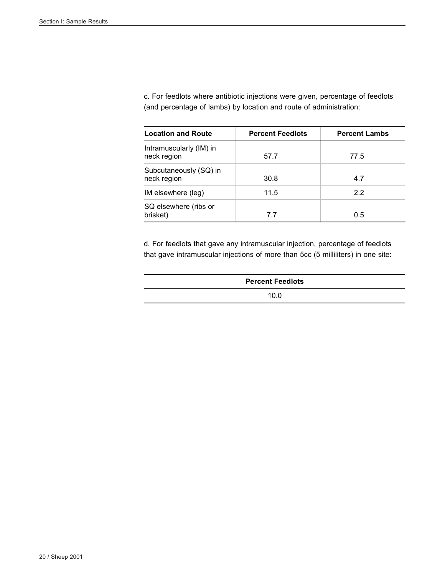c. For feedlots where antibiotic injections were given, percentage of feedlots (and percentage of lambs) by location and route of administration:

| <b>Location and Route</b>              | <b>Percent Feedlots</b> | <b>Percent Lambs</b> |
|----------------------------------------|-------------------------|----------------------|
| Intramuscularly (IM) in<br>neck region | 57.7                    | 77.5                 |
| Subcutaneously (SQ) in<br>neck region  | 30.8                    | 4.7                  |
| IM elsewhere (leg)                     | 11.5                    | 2.2                  |
| SQ elsewhere (ribs or<br>brisket)      | 7.7                     | 0.5                  |

d. For feedlots that gave any intramuscular injection, percentage of feedlots that gave intramuscular injections of more than 5cc (5 milliliters) in one site:

| <b>Percent Feedlots</b> |
|-------------------------|
| 10.0                    |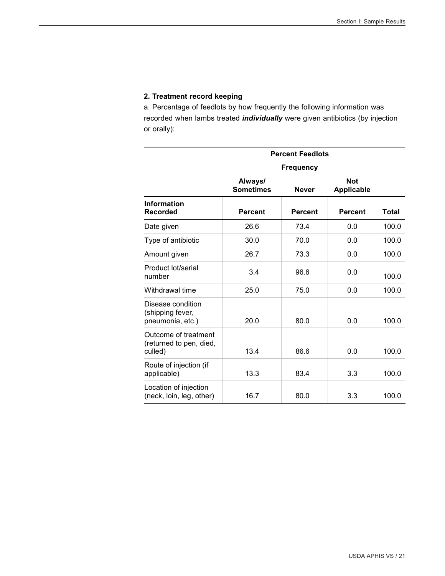#### **2. Treatment record keeping**

a. Percentage of feedlots by how frequently the following information was recorded when lambs treated *individually* were given antibiotics (by injection or orally):

|                                                            |                             | <b>Percent Feedlots</b> |                                 |              |
|------------------------------------------------------------|-----------------------------|-------------------------|---------------------------------|--------------|
|                                                            | <b>Frequency</b>            |                         |                                 |              |
|                                                            | Always/<br><b>Sometimes</b> | <b>Never</b>            | <b>Not</b><br><b>Applicable</b> |              |
| <b>Information</b><br><b>Recorded</b>                      | <b>Percent</b>              | <b>Percent</b>          | <b>Percent</b>                  | <b>Total</b> |
| Date given                                                 | 26.6                        | 73.4                    | 0.0                             | 100.0        |
| Type of antibiotic                                         | 30.0                        | 70.0                    | 0.0                             | 100.0        |
| Amount given                                               | 26.7                        | 73.3                    | 0.0                             | 100.0        |
| Product lot/serial<br>number                               | 3.4                         | 96.6                    | 0.0                             | 100.0        |
| Withdrawal time                                            | 25.0                        | 75.0                    | 0.0                             | 100.0        |
| Disease condition<br>(shipping fever,<br>pneumonia, etc.)  | 20.0                        | 80.0                    | 0.0                             | 100.0        |
| Outcome of treatment<br>(returned to pen, died,<br>culled) | 13.4                        | 86.6                    | 0.0                             | 100.0        |
| Route of injection (if<br>applicable)                      | 13.3                        | 83.4                    | 3.3                             | 100.0        |
| Location of injection<br>(neck, loin, leg, other)          | 16.7                        | 80.0                    | 3.3                             | 100.0        |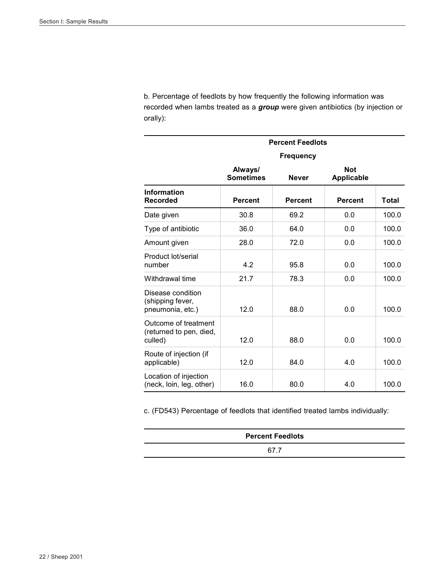b. Percentage of feedlots by how frequently the following information was recorded when lambs treated as a *group* were given antibiotics (by injection or orally):

|                                                            | <b>Percent Feedlots</b>     |                |                                 |       |
|------------------------------------------------------------|-----------------------------|----------------|---------------------------------|-------|
|                                                            | <b>Frequency</b>            |                |                                 |       |
|                                                            | Always/<br><b>Sometimes</b> | <b>Never</b>   | <b>Not</b><br><b>Applicable</b> |       |
| Information<br><b>Recorded</b>                             | <b>Percent</b>              | <b>Percent</b> | <b>Percent</b>                  | Total |
| Date given                                                 | 30.8                        | 69.2           | 0.0                             | 100.0 |
| Type of antibiotic                                         | 36.0                        | 64.0           | 0.0                             | 100.0 |
| Amount given                                               | 28.0                        | 72.0           | 0.0                             | 100.0 |
| Product lot/serial<br>number                               | 4.2                         | 95.8           | 0.0                             | 100.0 |
| Withdrawal time                                            | 21.7                        | 78.3           | 0.0                             | 100.0 |
| Disease condition<br>(shipping fever,<br>pneumonia, etc.)  | 12.0                        | 88.0           | 0.0                             | 100.0 |
| Outcome of treatment<br>(returned to pen, died,<br>culled) | 12.0                        | 88.0           | 0.0                             | 100.0 |
| Route of injection (if<br>applicable)                      | 12.0                        | 84.0           | 4.0                             | 100.0 |
| Location of injection<br>(neck, loin, leg, other)          | 16.0                        | 80.0           | 4.0                             | 100.0 |

c. (FD543) Percentage of feedlots that identified treated lambs individually:

| <b>Percent Feedlots</b> |  |
|-------------------------|--|
|                         |  |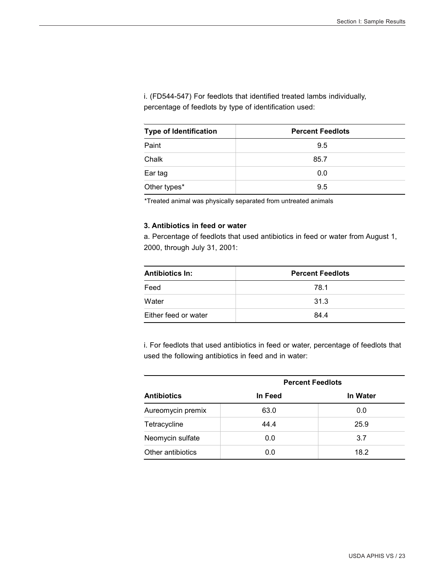i. (FD544-547) For feedlots that identified treated lambs individually, percentage of feedlots by type of identification used:

| <b>Type of Identification</b> | <b>Percent Feedlots</b> |
|-------------------------------|-------------------------|
| Paint                         | 9.5                     |
| Chalk                         | 85.7                    |
| Ear tag                       | 0.0                     |
| Other types*                  | 9.5                     |

\*Treated animal was physically separated from untreated animals

#### **3. Antibiotics in feed or water**

a. Percentage of feedlots that used antibiotics in feed or water from August 1, 2000, through July 31, 2001:

| <b>Antibiotics In:</b> | <b>Percent Feedlots</b> |
|------------------------|-------------------------|
| Feed                   | 78.1                    |
| Water                  | 31.3                    |
| Either feed or water   | 84.4                    |

i. For feedlots that used antibiotics in feed or water, percentage of feedlots that used the following antibiotics in feed and in water:

|                    | <b>Percent Feedlots</b> |                 |  |
|--------------------|-------------------------|-----------------|--|
| <b>Antibiotics</b> | In Feed                 | <b>In Water</b> |  |
| Aureomycin premix  | 63.0                    | 0.0             |  |
| Tetracycline       | 44.4                    | 25.9            |  |
| Neomycin sulfate   | 0.0                     | 3.7             |  |
| Other antibiotics  | 0.0                     | 18.2            |  |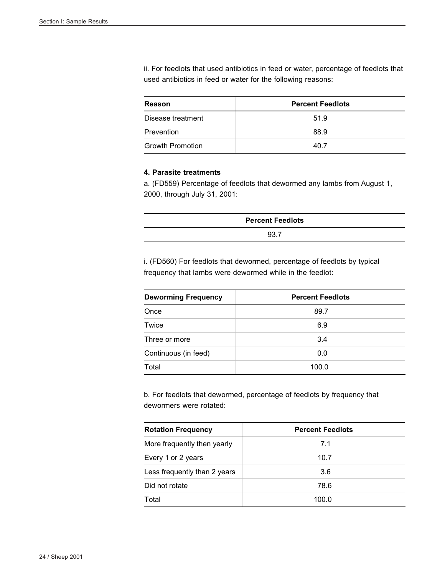ii. For feedlots that used antibiotics in feed or water, percentage of feedlots that used antibiotics in feed or water for the following reasons:

| Reason                  | <b>Percent Feedlots</b> |
|-------------------------|-------------------------|
| Disease treatment       | 51.9                    |
| Prevention              | 88.9                    |
| <b>Growth Promotion</b> | 40 7                    |

#### **4. Parasite treatments**

a. (FD559) Percentage of feedlots that dewormed any lambs from August 1, 2000, through July 31, 2001:

| <b>Percent Feedlots</b> |  |
|-------------------------|--|
| 93.7                    |  |

i. (FD560) For feedlots that dewormed, percentage of feedlots by typical frequency that lambs were dewormed while in the feedlot:

| <b>Deworming Frequency</b> | <b>Percent Feedlots</b> |
|----------------------------|-------------------------|
| Once                       | 89.7                    |
| Twice                      | 6.9                     |
| Three or more              | 3.4                     |
| Continuous (in feed)       | 0.0                     |
| Total                      | 100.0                   |

b. For feedlots that dewormed, percentage of feedlots by frequency that dewormers were rotated:

| <b>Rotation Frequency</b>    | <b>Percent Feedlots</b> |
|------------------------------|-------------------------|
| More frequently then yearly  | 7.1                     |
| Every 1 or 2 years           | 10.7                    |
| Less frequently than 2 years | 3.6                     |
| Did not rotate               | 78.6                    |
| Total                        | 100.0                   |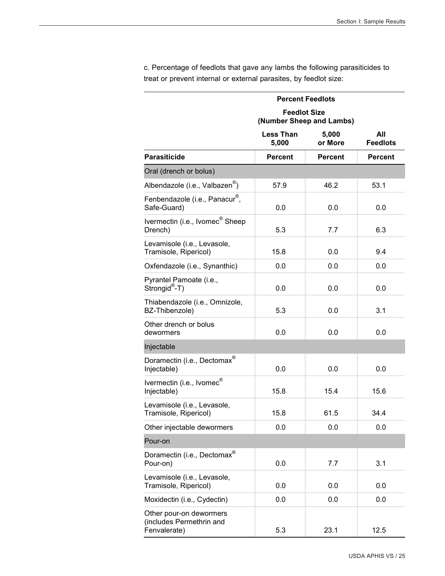|                                                                     | <b>Percent Feedlots</b>                         |                  |                        |
|---------------------------------------------------------------------|-------------------------------------------------|------------------|------------------------|
|                                                                     | <b>Feedlot Size</b><br>(Number Sheep and Lambs) |                  |                        |
|                                                                     | <b>Less Than</b><br>5,000                       | 5,000<br>or More | All<br><b>Feedlots</b> |
| <b>Parasiticide</b>                                                 | <b>Percent</b>                                  | <b>Percent</b>   | <b>Percent</b>         |
| Oral (drench or bolus)                                              |                                                 |                  |                        |
| Albendazole (i.e., Valbazen <sup>®</sup> )                          | 57.9                                            | 46.2             | 53.1                   |
| Fenbendazole (i.e., Panacur <sup>®</sup> ,<br>Safe-Guard)           | 0.0                                             | 0.0              | 0.0                    |
| Ivermectin (i.e., Ivomec <sup>®</sup> Sheep<br>Drench)              | 5.3                                             | 7.7              | 6.3                    |
| Levamisole (i.e., Levasole,<br>Tramisole, Ripericol)                | 15.8                                            | 0.0              | 9.4                    |
| Oxfendazole (i.e., Synanthic)                                       | 0.0                                             | 0.0              | 0.0                    |
| Pyrantel Pamoate (i.e.,<br>Strongid®-T)                             | 0.0                                             | 0.0              | 0.0                    |
| Thiabendazole (i.e., Omnizole,<br>BZ-Thibenzole)                    | 5.3                                             | 0.0              | 3.1                    |
| Other drench or bolus<br>dewormers                                  | 0.0                                             | 0.0              | 0.0                    |
| Injectable                                                          |                                                 |                  |                        |
| Doramectin (i.e., Dectomax <sup>®</sup><br>Injectable)              | 0.0                                             | 0.0              | 0.0                    |
| Ivermectin (i.e., Ivomec <sup>®</sup><br>Injectable)                | 15.8                                            | 15.4             | 15.6                   |
| Levamisole (i.e., Levasole,<br>Tramisole, Ripericol)                | 15.8                                            | 61.5             | 34.4                   |
| Other injectable dewormers                                          | 0.0                                             | 0.0              | 0.0                    |
| Pour-on                                                             |                                                 |                  |                        |
| Doramectin (i.e., Dectomax®<br>Pour-on)                             | 0.0                                             | 7.7              | 3.1                    |
| Levamisole (i.e., Levasole,<br>Tramisole, Ripericol)                | 0.0                                             | 0.0              | 0.0                    |
| Moxidectin (i.e., Cydectin)                                         | 0.0                                             | 0.0              | 0.0                    |
| Other pour-on dewormers<br>(includes Permethrin and<br>Fenvalerate) | 5.3                                             | 23.1             | 12.5                   |

c. Percentage of feedlots that gave any lambs the following parasiticides to treat or prevent internal or external parasites, by feedlot size: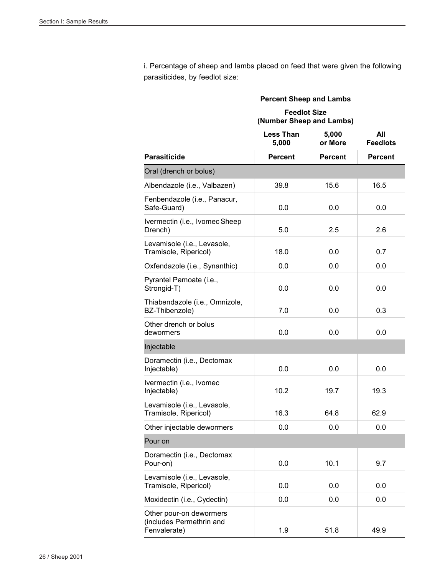i. Percentage of sheep and lambs placed on feed that were given the following parasiticides, by feedlot size:

|                                                                     | <b>Percent Sheep and Lambs</b>                  |                  |                        |
|---------------------------------------------------------------------|-------------------------------------------------|------------------|------------------------|
|                                                                     | <b>Feedlot Size</b><br>(Number Sheep and Lambs) |                  |                        |
|                                                                     | <b>Less Than</b><br>5,000                       | 5,000<br>or More | All<br><b>Feedlots</b> |
| <b>Parasiticide</b>                                                 | <b>Percent</b>                                  | <b>Percent</b>   | <b>Percent</b>         |
| Oral (drench or bolus)                                              |                                                 |                  |                        |
| Albendazole (i.e., Valbazen)                                        | 39.8                                            | 15.6             | 16.5                   |
| Fenbendazole (i.e., Panacur,<br>Safe-Guard)                         | 0.0                                             | 0.0              | 0.0                    |
| Ivermectin (i.e., Ivomec Sheep<br>Drench)                           | 5.0                                             | 2.5              | 2.6                    |
| Levamisole (i.e., Levasole,<br>Tramisole, Ripericol)                | 18.0                                            | 0.0              | 0.7                    |
| Oxfendazole (i.e., Synanthic)                                       | 0.0                                             | 0.0              | 0.0                    |
| Pyrantel Pamoate (i.e.,<br>Strongid-T)                              | 0.0                                             | 0.0              | 0.0                    |
| Thiabendazole (i.e., Omnizole,<br>BZ-Thibenzole)                    | 7.0                                             | 0.0              | 0.3                    |
| Other drench or bolus<br>dewormers                                  | 0.0                                             | 0.0              | 0.0                    |
| Injectable                                                          |                                                 |                  |                        |
| Doramectin (i.e., Dectomax<br>Injectable)                           | 0.0                                             | 0.0              | 0.0                    |
| Ivermectin (i.e., Ivomec<br>Injectable)                             | 10.2                                            | 19.7             | 19.3                   |
| Levamisole (i.e., Levasole,<br>Tramisole, Ripericol)                | 16.3                                            | 64.8             | 62.9                   |
| Other injectable dewormers                                          | 0.0                                             | 0.0              | 0.0                    |
| Pour on                                                             |                                                 |                  |                        |
| Doramectin (i.e., Dectomax<br>Pour-on)                              | 0.0                                             | 10.1             | 9.7                    |
| Levamisole (i.e., Levasole,<br>Tramisole, Ripericol)                | 0.0                                             | 0.0              | 0.0                    |
| Moxidectin (i.e., Cydectin)                                         | 0.0                                             | 0.0              | 0.0                    |
| Other pour-on dewormers<br>(includes Permethrin and<br>Fenvalerate) | 1.9                                             | 51.8             | 49.9                   |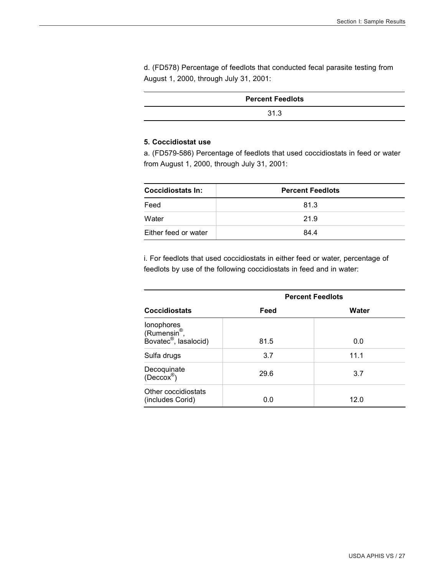d. (FD578) Percentage of feedlots that conducted fecal parasite testing from August 1, 2000, through July 31, 2001:

| <b>Percent Feedlots</b> |
|-------------------------|
| 31.3                    |

#### **5. Coccidiostat use**

a. (FD579-586) Percentage of feedlots that used coccidiostats in feed or water from August 1, 2000, through July 31, 2001:

| <b>Coccidiostats In:</b> | <b>Percent Feedlots</b> |
|--------------------------|-------------------------|
| Feed                     | 81.3                    |
| Water                    | 21.9                    |
| Either feed or water     | 84.4                    |

i. For feedlots that used coccidiostats in either feed or water, percentage of feedlots by use of the following coccidiostats in feed and in water:

|                                                                             | <b>Percent Feedlots</b> |       |  |
|-----------------------------------------------------------------------------|-------------------------|-------|--|
| <b>Coccidiostats</b>                                                        | Feed                    | Water |  |
| lonophores<br>(Rumensin <sup>®</sup> ,<br>Bovatec <sup>®</sup> , lasalocid) | 81.5                    | 0.0   |  |
| Sulfa drugs                                                                 | 3.7                     | 11.1  |  |
| Decoquinate<br>$(Deccox^{\circledR})$                                       | 29.6                    | 3.7   |  |
| Other coccidiostats<br>(includes Corid)                                     | 0.0                     | 12.0  |  |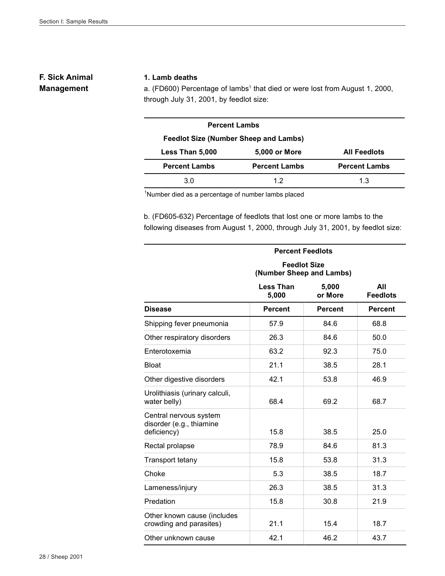#### **F. Sick Animal Management**

#### **1. Lamb deaths**

a. (FD600) Percentage of lambs<sup>1</sup> that died or were lost from August 1, 2000, through July 31, 2001, by feedlot size:

| <b>Percent Lambs</b>                                           |                      |                      |  |  |
|----------------------------------------------------------------|----------------------|----------------------|--|--|
| <b>Feedlot Size (Number Sheep and Lambs)</b>                   |                      |                      |  |  |
| Less Than 5,000<br><b>All Feedlots</b><br><b>5,000 or More</b> |                      |                      |  |  |
| <b>Percent Lambs</b>                                           | <b>Percent Lambs</b> | <b>Percent Lambs</b> |  |  |
| 3.0                                                            | 12                   | 1.3                  |  |  |

<sup>1</sup>Number died as a percentage of number lambs placed

b. (FD605-632) Percentage of feedlots that lost one or more lambs to the following diseases from August 1, 2000, through July 31, 2001, by feedlot size:

|                                                                   | <b>Percent Feedlots</b>                         |                  |                        |  |
|-------------------------------------------------------------------|-------------------------------------------------|------------------|------------------------|--|
|                                                                   | <b>Feedlot Size</b><br>(Number Sheep and Lambs) |                  |                        |  |
|                                                                   | <b>Less Than</b><br>5,000                       | 5,000<br>or More | All<br><b>Feedlots</b> |  |
| <b>Disease</b>                                                    | <b>Percent</b>                                  | <b>Percent</b>   | <b>Percent</b>         |  |
| Shipping fever pneumonia                                          | 57.9                                            | 84.6             | 68.8                   |  |
| Other respiratory disorders                                       | 26.3                                            | 84.6             | 50.0                   |  |
| Enterotoxemia                                                     | 63.2                                            | 92.3             | 75.0                   |  |
| <b>Bloat</b>                                                      | 21.1                                            | 38.5             | 28.1                   |  |
| Other digestive disorders                                         | 42.1                                            | 53.8             | 46.9                   |  |
| Urolithiasis (urinary calculi,<br>water belly)                    | 68.4                                            | 69.2             | 68.7                   |  |
| Central nervous system<br>disorder (e.g., thiamine<br>deficiency) | 15.8                                            | 38.5             | 25.0                   |  |
| Rectal prolapse                                                   | 78.9                                            | 84.6             | 81.3                   |  |
| <b>Transport tetany</b>                                           | 15.8                                            | 53.8             | 31.3                   |  |
| Choke                                                             | 5.3                                             | 38.5             | 18.7                   |  |
| Lameness/injury                                                   | 26.3                                            | 38.5             | 31.3                   |  |
| Predation                                                         | 15.8                                            | 30.8             | 21.9                   |  |
| Other known cause (includes<br>crowding and parasites)            | 21.1                                            | 15.4             | 18.7                   |  |
| Other unknown cause                                               | 42.1                                            | 46.2             | 43.7                   |  |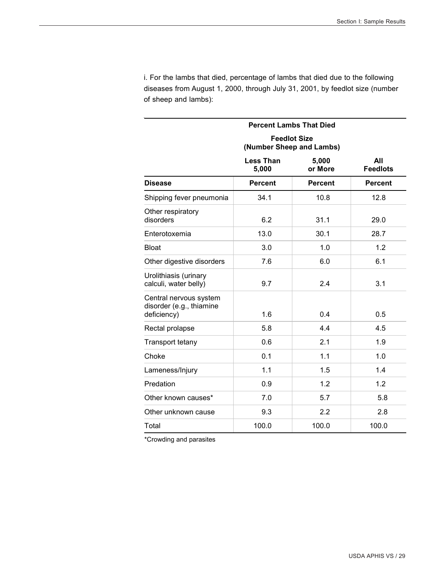i. For the lambs that died, percentage of lambs that died due to the following diseases from August 1, 2000, through July 31, 2001, by feedlot size (number of sheep and lambs):

|                                                                   | <b>Percent Lambs That Died</b>                  |                  |                        |  |
|-------------------------------------------------------------------|-------------------------------------------------|------------------|------------------------|--|
|                                                                   | <b>Feedlot Size</b><br>(Number Sheep and Lambs) |                  |                        |  |
|                                                                   | <b>Less Than</b><br>5,000                       | 5,000<br>or More | All<br><b>Feedlots</b> |  |
| <b>Disease</b>                                                    | <b>Percent</b>                                  | <b>Percent</b>   | <b>Percent</b>         |  |
| Shipping fever pneumonia                                          | 34.1                                            | 10.8             | 12.8                   |  |
| Other respiratory<br>disorders                                    | 6.2                                             | 31.1             | 29.0                   |  |
| Enterotoxemia                                                     | 13.0                                            | 30.1             | 28.7                   |  |
| <b>Bloat</b>                                                      | 3.0                                             | 1.0              | 1.2                    |  |
| Other digestive disorders                                         | 7.6                                             | 6.0              | 6.1                    |  |
| Urolithiasis (urinary<br>calculi, water belly)                    | 9.7                                             | 2.4              | 3.1                    |  |
| Central nervous system<br>disorder (e.g., thiamine<br>deficiency) | 1.6                                             | 0.4              | 0.5                    |  |
| Rectal prolapse                                                   | 5.8                                             | 4.4              | 4.5                    |  |
| Transport tetany                                                  | 0.6                                             | 2.1              | 1.9                    |  |
| Choke                                                             | 0.1                                             | 1.1              | 1.0                    |  |
| Lameness/Injury                                                   | 1.1                                             | 1.5              | 1.4                    |  |
| Predation                                                         | 0.9                                             | 1.2              | 1.2                    |  |
| Other known causes*                                               | 7.0                                             | 5.7              | 5.8                    |  |
| Other unknown cause                                               | 9.3                                             | 2.2              | 2.8                    |  |
| Total                                                             | 100.0                                           | 100.0            | 100.0                  |  |

\*Crowding and parasites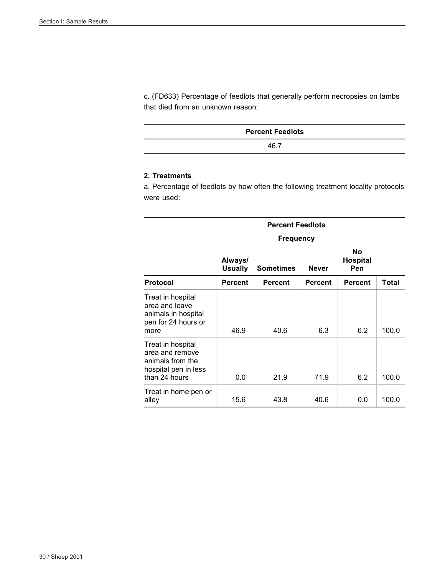c. (FD633) Percentage of feedlots that generally perform necropsies on lambs that died from an unknown reason:

| <b>Percent Feedlots</b> |  |
|-------------------------|--|
| 46.7                    |  |

#### **2. Treatments**

a. Percentage of feedlots by how often the following treatment locality protocols were used:

|                                                                                                   |                           | <b>Percent Feedlots</b> |                |                                     |       |  |
|---------------------------------------------------------------------------------------------------|---------------------------|-------------------------|----------------|-------------------------------------|-------|--|
|                                                                                                   | <b>Frequency</b>          |                         |                |                                     |       |  |
|                                                                                                   | Always/<br><b>Usually</b> | <b>Sometimes</b>        | <b>Never</b>   | <b>No</b><br><b>Hospital</b><br>Pen |       |  |
| <b>Protocol</b>                                                                                   | <b>Percent</b>            | <b>Percent</b>          | <b>Percent</b> | Percent                             | Total |  |
| Treat in hospital<br>area and leave<br>animals in hospital<br>pen for 24 hours or<br>more         | 46.9                      | 40.6                    | 6.3            | 6.2                                 | 100.0 |  |
| Treat in hospital<br>area and remove<br>animals from the<br>hospital pen in less<br>than 24 hours | 0.0                       | 21.9                    | 71.9           | 6.2                                 | 100.0 |  |
| Treat in home pen or<br>alley                                                                     | 15.6                      | 43.8                    | 40.6           | 0.0                                 | 100.0 |  |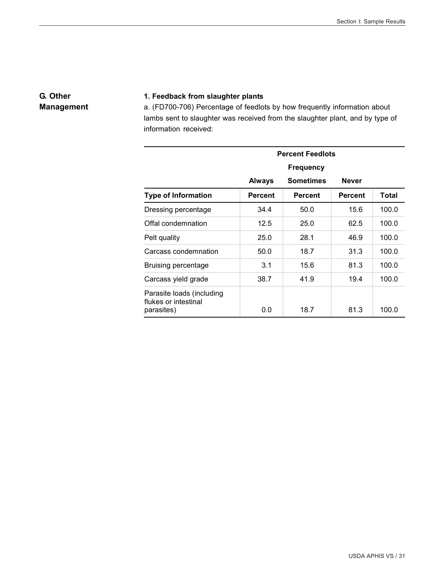#### **G. Other Management**

#### **1. Feedback from slaughter plants**

a. (FD700-706) Percentage of feedlots by how frequently information about lambs sent to slaughter was received from the slaughter plant, and by type of information received:

|                                                                 | <b>Percent Feedlots</b> |                  |                |       |  |
|-----------------------------------------------------------------|-------------------------|------------------|----------------|-------|--|
|                                                                 | <b>Frequency</b>        |                  |                |       |  |
|                                                                 | <b>Always</b>           | <b>Sometimes</b> | <b>Never</b>   |       |  |
| <b>Type of Information</b>                                      | <b>Percent</b>          | <b>Percent</b>   | <b>Percent</b> | Total |  |
| Dressing percentage                                             | 34.4                    | 50.0             | 15.6           | 100.0 |  |
| Offal condemnation                                              | 12.5                    | 25.0             | 62.5           | 100.0 |  |
| Pelt quality                                                    | 25.0                    | 28.1             | 46.9           | 100.0 |  |
| Carcass condemnation                                            | 50.0                    | 18.7             | 31.3           | 100.0 |  |
| Bruising percentage                                             | 3.1                     | 15.6             | 81.3           | 100.0 |  |
| Carcass yield grade                                             | 38.7                    | 41.9             | 19.4           | 100.0 |  |
| Parasite loads (including<br>flukes or intestinal<br>parasites) | 0.0                     | 18.7             | 81.3           | 100.0 |  |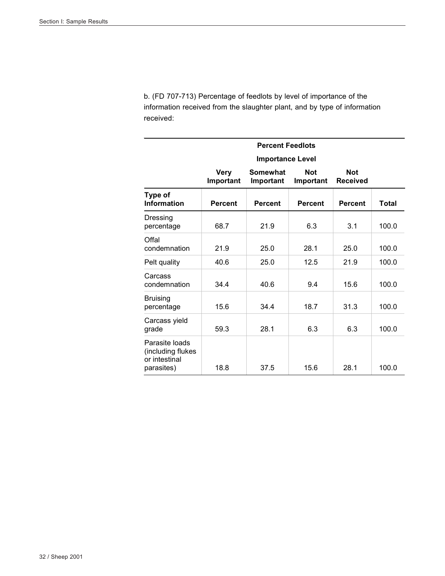b. (FD 707-713) Percentage of feedlots by level of importance of the information received from the slaughter plant, and by type of information received:

| <b>Percent Feedlots</b>                                            |                          |                              |                         |                               |       |
|--------------------------------------------------------------------|--------------------------|------------------------------|-------------------------|-------------------------------|-------|
|                                                                    |                          | <b>Importance Level</b>      |                         |                               |       |
|                                                                    | <b>Very</b><br>Important | <b>Somewhat</b><br>Important | <b>Not</b><br>Important | <b>Not</b><br><b>Received</b> |       |
| Type of<br><b>Information</b>                                      | <b>Percent</b>           | <b>Percent</b>               | <b>Percent</b>          | <b>Percent</b>                | Total |
| Dressing<br>percentage                                             | 68.7                     | 21.9                         | 6.3                     | 3.1                           | 100.0 |
| Offal<br>condemnation                                              | 21.9                     | 25.0                         | 28.1                    | 25.0                          | 100.0 |
| Pelt quality                                                       | 40.6                     | 25.0                         | 12.5                    | 21.9                          | 100.0 |
| Carcass<br>condemnation                                            | 34.4                     | 40.6                         | 9.4                     | 15.6                          | 100.0 |
| <b>Bruising</b><br>percentage                                      | 15.6                     | 34.4                         | 18.7                    | 31.3                          | 100.0 |
| Carcass yield<br>grade                                             | 59.3                     | 28.1                         | 6.3                     | 6.3                           | 100.0 |
| Parasite loads<br>(including flukes<br>or intestinal<br>parasites) | 18.8                     | 37.5                         | 15.6                    | 28.1                          | 100.0 |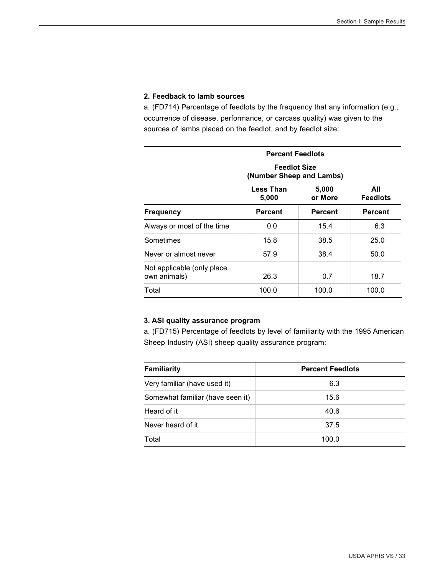#### **2. Feedback to lamb sources**

a. (FD714) Percentage of feedlots by the frequency that any information (e.g., occurrence of disease, performance, or carcass quality) was given to the sources of lambs placed on the feedlot, and by feedlot size:

|                                                                  | <b>Percent Feedlots</b>                            |       |       |  |  |
|------------------------------------------------------------------|----------------------------------------------------|-------|-------|--|--|
|                                                                  | <b>Feedlot Size</b><br>(Number Sheep and Lambs)    |       |       |  |  |
| 5,000<br><b>Less Than</b><br><b>Feedlots</b><br>5,000<br>or More |                                                    |       |       |  |  |
| <b>Frequency</b>                                                 | <b>Percent</b><br><b>Percent</b><br><b>Percent</b> |       |       |  |  |
| Always or most of the time                                       | 0.0                                                | 15.4  | 6.3   |  |  |
| Sometimes                                                        | 15.8                                               | 38.5  | 25.0  |  |  |
| Never or almost never                                            | 57.9                                               | 38.4  | 50.0  |  |  |
| Not applicable (only place)<br>own animals)                      | 26.3                                               | 0.7   | 18.7  |  |  |
| Total                                                            | 100.0                                              | 100.0 | 100.0 |  |  |

#### **3. ASI quality assurance program**

a. (FD715) Percentage of feedlots by level of familiarity with the 1995 American Sheep Industry (ASI) sheep quality assurance program:

| <b>Familiarity</b>               | <b>Percent Feedlots</b> |
|----------------------------------|-------------------------|
| Very familiar (have used it)     | 6.3                     |
| Somewhat familiar (have seen it) | 15.6                    |
| Heard of it                      | 40.6                    |
| Never heard of it                | 37.5                    |
| Total                            | 100.0                   |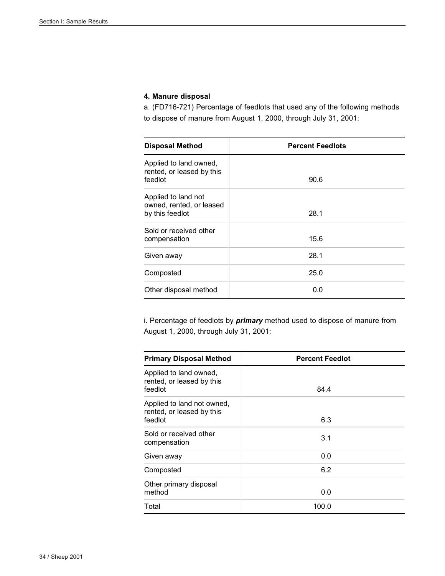#### **4. Manure disposal**

a. (FD716-721) Percentage of feedlots that used any of the following methods to dispose of manure from August 1, 2000, through July 31, 2001:

| <b>Disposal Method</b>                                             | <b>Percent Feedlots</b> |
|--------------------------------------------------------------------|-------------------------|
| Applied to land owned,<br>rented, or leased by this<br>feedlot     | 90.6                    |
| Applied to land not<br>owned, rented, or leased<br>by this feedlot | 28.1                    |
| Sold or received other<br>compensation                             | 15.6                    |
| Given away                                                         | 28.1                    |
| Composted                                                          | 25.0                    |
| Other disposal method                                              | 0.0                     |

i. Percentage of feedlots by *primary* method used to dispose of manure from August 1, 2000, through July 31, 2001:

| <b>Primary Disposal Method</b>                                     | <b>Percent Feedlot</b> |  |
|--------------------------------------------------------------------|------------------------|--|
| Applied to land owned,<br>rented, or leased by this<br>feedlot     | 84.4                   |  |
| Applied to land not owned,<br>rented, or leased by this<br>feedlot | 6.3                    |  |
| Sold or received other<br>compensation                             | 3.1                    |  |
| Given away                                                         | 0.0                    |  |
| Composted                                                          | 6.2                    |  |
| Other primary disposal<br>method                                   | 0.0                    |  |
| Total                                                              | 100.0                  |  |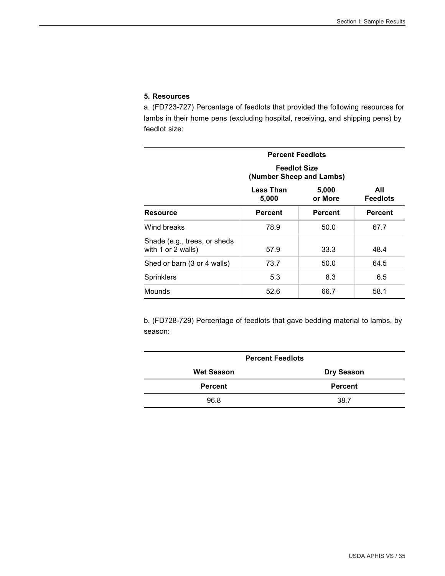#### **5. Resources**

a. (FD723-727) Percentage of feedlots that provided the following resources for lambs in their home pens (excluding hospital, receiving, and shipping pens) by feedlot size:

| <b>Percent Feedlots</b>                            |                                                 |                  |                        |
|----------------------------------------------------|-------------------------------------------------|------------------|------------------------|
|                                                    | <b>Feedlot Size</b><br>(Number Sheep and Lambs) |                  |                        |
|                                                    | Less Than<br>5,000                              | 5,000<br>or More | All<br><b>Feedlots</b> |
| Resource                                           | <b>Percent</b>                                  | <b>Percent</b>   | <b>Percent</b>         |
| Wind breaks                                        | 78.9                                            | 50.0             | 67.7                   |
| Shade (e.g., trees, or sheds<br>with 1 or 2 walls) | 57.9                                            | 33.3             | 48.4                   |
| Shed or barn (3 or 4 walls)                        | 73.7                                            | 50.0             | 64.5                   |
| <b>Sprinklers</b>                                  | 5.3                                             | 8.3              | 6.5                    |
| Mounds                                             | 52.6                                            | 66.7             | 58.1                   |

b. (FD728-729) Percentage of feedlots that gave bedding material to lambs, by season:

| <b>Percent Feedlots</b> |                   |  |  |
|-------------------------|-------------------|--|--|
| <b>Wet Season</b>       | <b>Dry Season</b> |  |  |
| <b>Percent</b>          | <b>Percent</b>    |  |  |
| 96.8                    | 38.7              |  |  |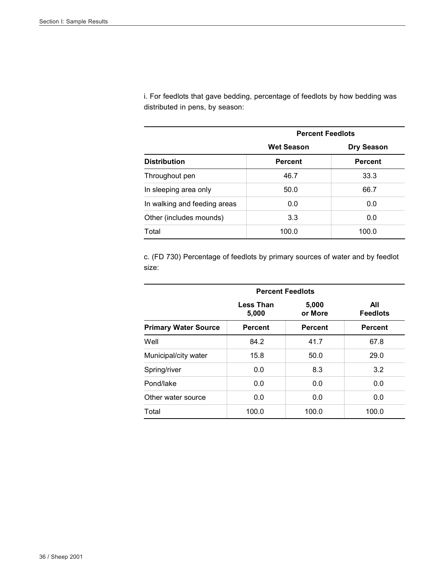i. For feedlots that gave bedding, percentage of feedlots by how bedding was distributed in pens, by season:

|                              | <b>Percent Feedlots</b> |                   |  |
|------------------------------|-------------------------|-------------------|--|
|                              | <b>Wet Season</b>       | <b>Dry Season</b> |  |
| <b>Distribution</b>          | <b>Percent</b>          | <b>Percent</b>    |  |
| Throughout pen               | 46.7                    | 33.3              |  |
| In sleeping area only        | 50.0                    | 66.7              |  |
| In walking and feeding areas | 0.0                     | 0.0               |  |
| Other (includes mounds)      | 3.3                     | 0.0               |  |
| Total                        | 100.0                   | 100.0             |  |

c. (FD 730) Percentage of feedlots by primary sources of water and by feedlot size:

|                             | <b>Percent Feedlots</b>   |                  |                        |  |
|-----------------------------|---------------------------|------------------|------------------------|--|
|                             | <b>Less Than</b><br>5,000 | 5,000<br>or More | All<br><b>Feedlots</b> |  |
| <b>Primary Water Source</b> | <b>Percent</b>            | <b>Percent</b>   | <b>Percent</b>         |  |
| Well                        | 84.2                      | 41.7             | 67.8                   |  |
| Municipal/city water        | 15.8                      | 50.0             | 29.0                   |  |
| Spring/river                | 0.0                       | 8.3              | 3.2                    |  |
| Pond/lake                   | 0.0                       | 0.0              | 0.0                    |  |
| Other water source          | 0.0                       | 0.0              | 0.0                    |  |
| Total                       | 100.0                     | 100.0            | 100.0                  |  |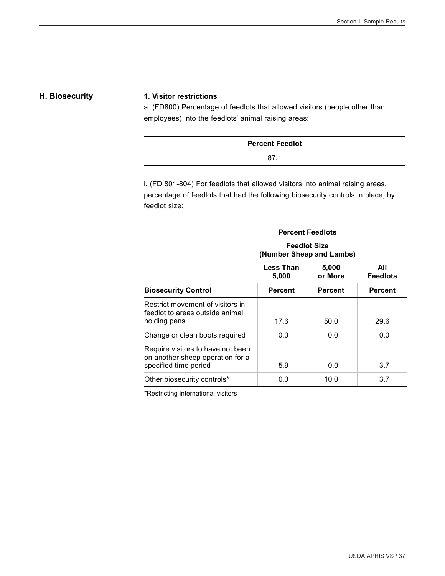#### **H. Biosecurity 1. Visitor restrictions**

a. (FD800) Percentage of feedlots that allowed visitors (people other than employees) into the feedlots' animal raising areas:

| <b>Percent Feedlot</b> |  |
|------------------------|--|
| 87                     |  |

i. (FD 801-804) For feedlots that allowed visitors into animal raising areas, percentage of feedlots that had the following biosecurity controls in place, by feedlot size:

| <b>Percent Feedlots</b>                                                                        |                                                 |                  |                        |  |
|------------------------------------------------------------------------------------------------|-------------------------------------------------|------------------|------------------------|--|
|                                                                                                | <b>Feedlot Size</b><br>(Number Sheep and Lambs) |                  |                        |  |
|                                                                                                | Less Than<br>5,000                              | 5,000<br>or More | All<br><b>Feedlots</b> |  |
| <b>Biosecurity Control</b>                                                                     | <b>Percent</b>                                  | <b>Percent</b>   | <b>Percent</b>         |  |
| Restrict movement of visitors in<br>feedlot to areas outside animal                            | 17.6                                            | 50.0             | 29.6                   |  |
| holding pens                                                                                   |                                                 |                  |                        |  |
| Change or clean boots required                                                                 | 0.0                                             | 0.0              | 0.0                    |  |
| Require visitors to have not been<br>on another sheep operation for a<br>specified time period | 5.9                                             | 0.0              | 3.7                    |  |
|                                                                                                |                                                 |                  |                        |  |
| Other biosecurity controls*                                                                    | 0.0                                             | 10.0             | 3.7                    |  |

\*Restricting international visitors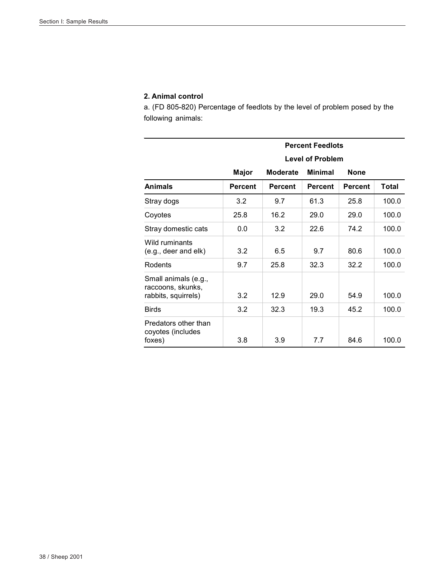#### **2. Animal control**

a. (FD 805-820) Percentage of feedlots by the level of problem posed by the following animals:

|                                                                  | <b>Percent Feedlots</b> |                 |                |                |       |
|------------------------------------------------------------------|-------------------------|-----------------|----------------|----------------|-------|
|                                                                  | <b>Level of Problem</b> |                 |                |                |       |
|                                                                  | <b>Major</b>            | <b>Moderate</b> | <b>Minimal</b> | None           |       |
| <b>Animals</b>                                                   | <b>Percent</b>          | <b>Percent</b>  | <b>Percent</b> | <b>Percent</b> | Total |
| Stray dogs                                                       | 3.2                     | 9.7             | 61.3           | 25.8           | 100.0 |
| Coyotes                                                          | 25.8                    | 16.2            | 29.0           | 29.0           | 100.0 |
| Stray domestic cats                                              | 0.0                     | 3.2             | 22.6           | 74.2           | 100.0 |
| Wild ruminants<br>(e.g., deer and elk)                           | 3.2                     | 6.5             | 9.7            | 80.6           | 100.0 |
| Rodents                                                          | 9.7                     | 25.8            | 32.3           | 32.2           | 100.0 |
| Small animals (e.g.,<br>raccoons, skunks,<br>rabbits, squirrels) | 3.2                     | 12.9            | 29.0           | 54.9           | 100.0 |
| <b>Birds</b>                                                     | 3.2                     | 32.3            | 19.3           | 45.2           | 100.0 |
| Predators other than<br>coyotes (includes<br>foxes)              | 3.8                     | 3.9             | 7.7            | 84.6           | 100.0 |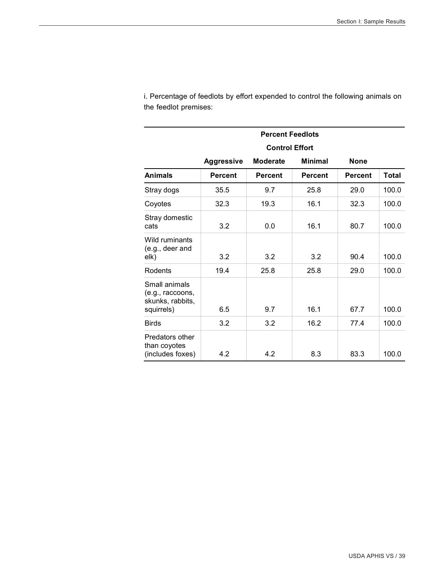| <b>Percent Feedlots</b>                                             |                       |                 |                |                |       |
|---------------------------------------------------------------------|-----------------------|-----------------|----------------|----------------|-------|
|                                                                     | <b>Control Effort</b> |                 |                |                |       |
|                                                                     | <b>Aggressive</b>     | <b>Moderate</b> | <b>Minimal</b> | <b>None</b>    |       |
| <b>Animals</b>                                                      | <b>Percent</b>        | <b>Percent</b>  | <b>Percent</b> | <b>Percent</b> | Total |
| Stray dogs                                                          | 35.5                  | 9.7             | 25.8           | 29.0           | 100.0 |
| Coyotes                                                             | 32.3                  | 19.3            | 16.1           | 32.3           | 100.0 |
| Stray domestic<br>cats                                              | 3.2                   | 0.0             | 16.1           | 80.7           | 100.0 |
| Wild ruminants<br>(e.g., deer and<br>elk)                           | 3.2                   | 3.2             | 3.2            | 90.4           | 100.0 |
| Rodents                                                             | 19.4                  | 25.8            | 25.8           | 29.0           | 100.0 |
| Small animals<br>(e.g., raccoons,<br>skunks, rabbits,<br>squirrels) | 6.5                   | 9.7             | 16.1           | 67.7           | 100.0 |
| <b>Birds</b>                                                        | 3.2                   | 3.2             | 16.2           | 77.4           | 100.0 |
| Predators other<br>than coyotes<br>(includes foxes)                 | 4.2                   | 4.2             | 8.3            | 83.3           | 100.0 |

i. Percentage of feedlots by effort expended to control the following animals on the feedlot premises: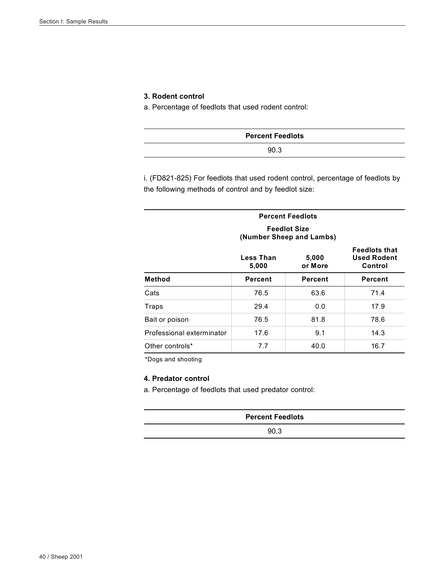#### **3. Rodent control**

a. Percentage of feedlots that used rodent control:

| <b>Percent Feedlots</b> |  |
|-------------------------|--|
| 90.3                    |  |

i. (FD821-825) For feedlots that used rodent control, percentage of feedlots by the following methods of control and by feedlot size:

| <b>Percent Feedlots</b><br><b>Feedlot Size</b><br>(Number Sheep and Lambs) |                                        |                |         |  |  |
|----------------------------------------------------------------------------|----------------------------------------|----------------|---------|--|--|
|                                                                            | Less Than<br>5,000<br>5,000<br>or More |                |         |  |  |
| <b>Method</b>                                                              | <b>Percent</b>                         | <b>Percent</b> | Percent |  |  |
| Cats                                                                       | 76.5                                   | 63.6           | 71.4    |  |  |
| Traps                                                                      | 29.4                                   | 0.0            | 17.9    |  |  |
| Bait or poison                                                             | 76.5                                   | 81.8           | 78.6    |  |  |
| Professional exterminator                                                  | 17.6                                   | 9.1            | 14.3    |  |  |
| Other controls*                                                            | 7.7                                    | 40.0           | 16.7    |  |  |

\*Dogs and shooting

#### **4. Predator control**

a. Percentage of feedlots that used predator control:

| <b>Percent Feedlots</b> |
|-------------------------|
| 90.3                    |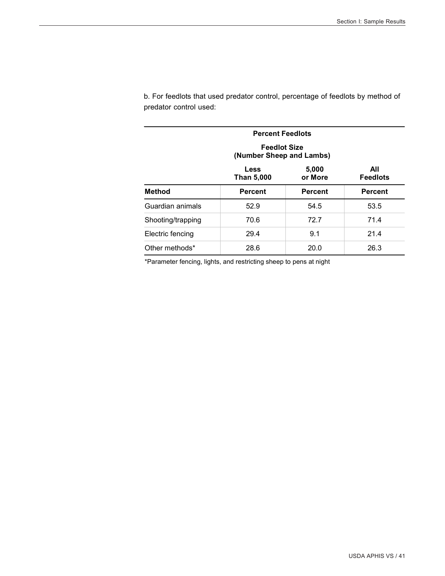| <b>Percent Feedlots</b> |                                                                         |                |                |  |  |
|-------------------------|-------------------------------------------------------------------------|----------------|----------------|--|--|
|                         | <b>Feedlot Size</b><br>(Number Sheep and Lambs)                         |                |                |  |  |
|                         | 5,000<br>All<br><b>Less</b><br><b>Feedlots</b><br>Than 5,000<br>or More |                |                |  |  |
| <b>Method</b>           | <b>Percent</b>                                                          | <b>Percent</b> | <b>Percent</b> |  |  |
| Guardian animals        | 52.9                                                                    | 54.5           | 53.5           |  |  |
| Shooting/trapping       | 70.6                                                                    | 72.7           | 71.4           |  |  |
| Electric fencing        | 29.4                                                                    | 9.1            | 21.4           |  |  |
| Other methods*          | 28.6                                                                    | 20.0           | 26.3           |  |  |

b. For feedlots that used predator control, percentage of feedlots by method of predator control used:

\*Parameter fencing, lights, and restricting sheep to pens at night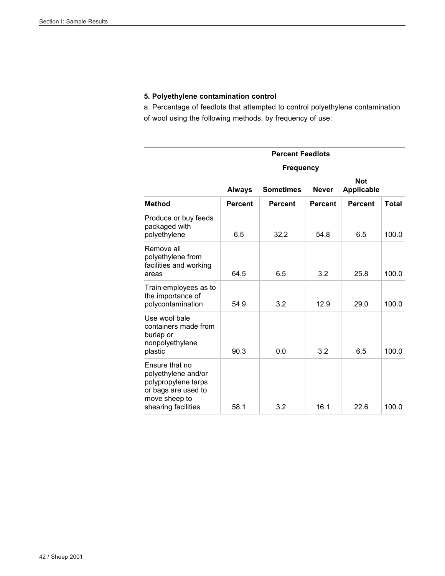#### **5. Polyethylene contamination control**

a. Percentage of feedlots that attempted to control polyethylene contamination of wool using the following methods, by frequency of use:

|                                                                                                                             | <b>Percent Feedlots</b> |                  |                |                                 |       |  |
|-----------------------------------------------------------------------------------------------------------------------------|-------------------------|------------------|----------------|---------------------------------|-------|--|
|                                                                                                                             | <b>Frequency</b>        |                  |                |                                 |       |  |
|                                                                                                                             | <b>Always</b>           | <b>Sometimes</b> | <b>Never</b>   | <b>Not</b><br><b>Applicable</b> |       |  |
| <b>Method</b>                                                                                                               | <b>Percent</b>          | <b>Percent</b>   | <b>Percent</b> | <b>Percent</b>                  | Total |  |
| Produce or buy feeds<br>packaged with<br>polyethylene                                                                       | 6.5                     | 32.2             | 54.8           | 6.5                             | 100.0 |  |
| Remove all<br>polyethylene from<br>facilities and working<br>areas                                                          | 64.5                    | 6.5              | 3.2            | 25.8                            | 100.0 |  |
| Train employees as to<br>the importance of<br>polycontamination                                                             | 54.9                    | 3.2              | 12.9           | 29.0                            | 100.0 |  |
| Use wool bale<br>containers made from<br>burlap or<br>nonpolyethylene<br>plastic                                            | 90.3                    | 0.0              | 3.2            | 6.5                             | 100.0 |  |
| Ensure that no<br>polyethylene and/or<br>polypropylene tarps<br>or bags are used to<br>move sheep to<br>shearing facilities | 58.1                    | 3.2              | 16.1           | 22.6                            | 100.0 |  |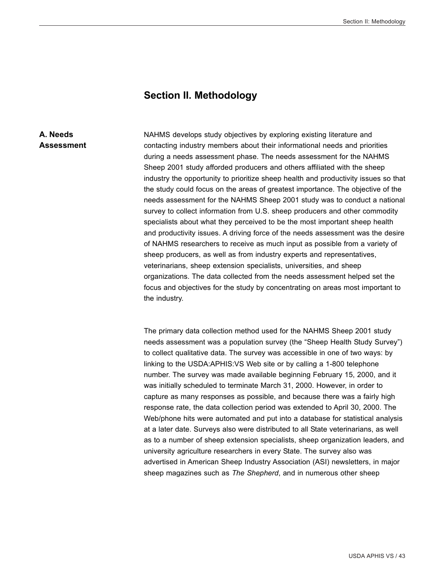#### **Section II. Methodology**

#### **A. Needs Assessment**

NAHMS develops study objectives by exploring existing literature and contacting industry members about their informational needs and priorities during a needs assessment phase. The needs assessment for the NAHMS Sheep 2001 study afforded producers and others affiliated with the sheep industry the opportunity to prioritize sheep health and productivity issues so that the study could focus on the areas of greatest importance. The objective of the needs assessment for the NAHMS Sheep 2001 study was to conduct a national survey to collect information from U.S. sheep producers and other commodity specialists about what they perceived to be the most important sheep health and productivity issues. A driving force of the needs assessment was the desire of NAHMS researchers to receive as much input as possible from a variety of sheep producers, as well as from industry experts and representatives, veterinarians, sheep extension specialists, universities, and sheep organizations. The data collected from the needs assessment helped set the focus and objectives for the study by concentrating on areas most important to the industry.

The primary data collection method used for the NAHMS Sheep 2001 study needs assessment was a population survey (the "Sheep Health Study Survey") to collect qualitative data. The survey was accessible in one of two ways: by linking to the USDA:APHIS:VS Web site or by calling a 1-800 telephone number. The survey was made available beginning February 15, 2000, and it was initially scheduled to terminate March 31, 2000. However, in order to capture as many responses as possible, and because there was a fairly high response rate, the data collection period was extended to April 30, 2000. The Web/phone hits were automated and put into a database for statistical analysis at a later date. Surveys also were distributed to all State veterinarians, as well as to a number of sheep extension specialists, sheep organization leaders, and university agriculture researchers in every State. The survey also was advertised in American Sheep Industry Association (ASI) newsletters, in major sheep magazines such as *The Shepherd*, and in numerous other sheep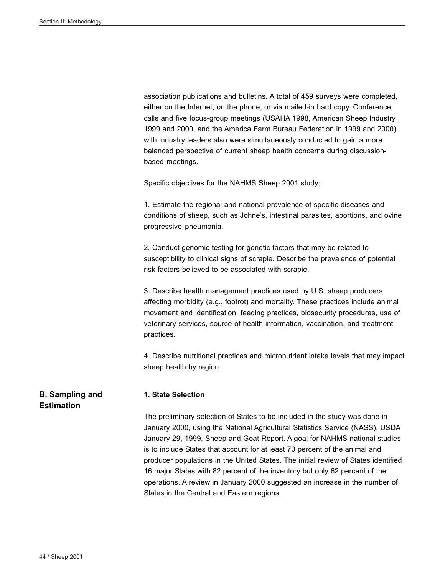association publications and bulletins. A total of 459 surveys were completed, either on the Internet, on the phone, or via mailed-in hard copy. Conference calls and five focus-group meetings (USAHA 1998, American Sheep Industry 1999 and 2000, and the America Farm Bureau Federation in 1999 and 2000) with industry leaders also were simultaneously conducted to gain a more balanced perspective of current sheep health concerns during discussionbased meetings.

Specific objectives for the NAHMS Sheep 2001 study:

1. Estimate the regional and national prevalence of specific diseases and conditions of sheep, such as Johne's, intestinal parasites, abortions, and ovine progressive pneumonia.

2. Conduct genomic testing for genetic factors that may be related to susceptibility to clinical signs of scrapie. Describe the prevalence of potential risk factors believed to be associated with scrapie.

3. Describe health management practices used by U.S. sheep producers affecting morbidity (e.g., footrot) and mortality. These practices include animal movement and identification, feeding practices, biosecurity procedures, use of veterinary services, source of health information, vaccination, and treatment practices.

4. Describe nutritional practices and micronutrient intake levels that may impact sheep health by region.

#### **1. State Selection**

The preliminary selection of States to be included in the study was done in January 2000, using the National Agricultural Statistics Service (NASS), USDA January 29, 1999, Sheep and Goat Report. A goal for NAHMS national studies is to include States that account for at least 70 percent of the animal and producer populations in the United States. The initial review of States identified 16 major States with 82 percent of the inventory but only 62 percent of the operations. A review in January 2000 suggested an increase in the number of States in the Central and Eastern regions.

#### **B. Sampling and Estimation**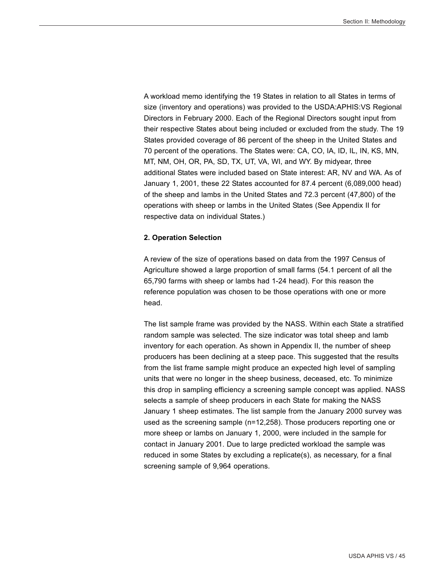A workload memo identifying the 19 States in relation to all States in terms of size (inventory and operations) was provided to the USDA:APHIS:VS Regional Directors in February 2000. Each of the Regional Directors sought input from their respective States about being included or excluded from the study. The 19 States provided coverage of 86 percent of the sheep in the United States and 70 percent of the operations. The States were: CA, CO, IA, ID, IL, IN, KS, MN, MT, NM, OH, OR, PA, SD, TX, UT, VA, WI, and WY. By midyear, three additional States were included based on State interest: AR, NV and WA. As of January 1, 2001, these 22 States accounted for 87.4 percent (6,089,000 head) of the sheep and lambs in the United States and 72.3 percent (47,800) of the operations with sheep or lambs in the United States (See Appendix II for respective data on individual States.)

#### **2. Operation Selection**

A review of the size of operations based on data from the 1997 Census of Agriculture showed a large proportion of small farms (54.1 percent of all the 65,790 farms with sheep or lambs had 1-24 head). For this reason the reference population was chosen to be those operations with one or more head.

The list sample frame was provided by the NASS. Within each State a stratified random sample was selected. The size indicator was total sheep and lamb inventory for each operation. As shown in Appendix II, the number of sheep producers has been declining at a steep pace. This suggested that the results from the list frame sample might produce an expected high level of sampling units that were no longer in the sheep business, deceased, etc. To minimize this drop in sampling efficiency a screening sample concept was applied. NASS selects a sample of sheep producers in each State for making the NASS January 1 sheep estimates. The list sample from the January 2000 survey was used as the screening sample (n=12,258). Those producers reporting one or more sheep or lambs on January 1, 2000, were included in the sample for contact in January 2001. Due to large predicted workload the sample was reduced in some States by excluding a replicate(s), as necessary, for a final screening sample of 9,964 operations.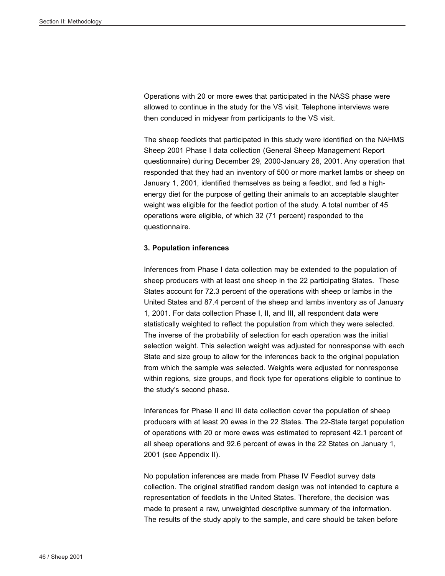Operations with 20 or more ewes that participated in the NASS phase were allowed to continue in the study for the VS visit. Telephone interviews were then conduced in midyear from participants to the VS visit.

The sheep feedlots that participated in this study were identified on the NAHMS Sheep 2001 Phase I data collection (General Sheep Management Report questionnaire) during December 29, 2000-January 26, 2001. Any operation that responded that they had an inventory of 500 or more market lambs or sheep on January 1, 2001, identified themselves as being a feedlot, and fed a highenergy diet for the purpose of getting their animals to an acceptable slaughter weight was eligible for the feedlot portion of the study. A total number of 45 operations were eligible, of which 32 (71 percent) responded to the questionnaire.

#### **3. Population inferences**

Inferences from Phase I data collection may be extended to the population of sheep producers with at least one sheep in the 22 participating States. These States account for 72.3 percent of the operations with sheep or lambs in the United States and 87.4 percent of the sheep and lambs inventory as of January 1, 2001. For data collection Phase I, II, and III, all respondent data were statistically weighted to reflect the population from which they were selected. The inverse of the probability of selection for each operation was the initial selection weight. This selection weight was adjusted for nonresponse with each State and size group to allow for the inferences back to the original population from which the sample was selected. Weights were adjusted for nonresponse within regions, size groups, and flock type for operations eligible to continue to the study's second phase.

Inferences for Phase II and III data collection cover the population of sheep producers with at least 20 ewes in the 22 States. The 22-State target population of operations with 20 or more ewes was estimated to represent 42.1 percent of all sheep operations and 92.6 percent of ewes in the 22 States on January 1, 2001 (see Appendix II).

No population inferences are made from Phase IV Feedlot survey data collection. The original stratified random design was not intended to capture a representation of feedlots in the United States. Therefore, the decision was made to present a raw, unweighted descriptive summary of the information. The results of the study apply to the sample, and care should be taken before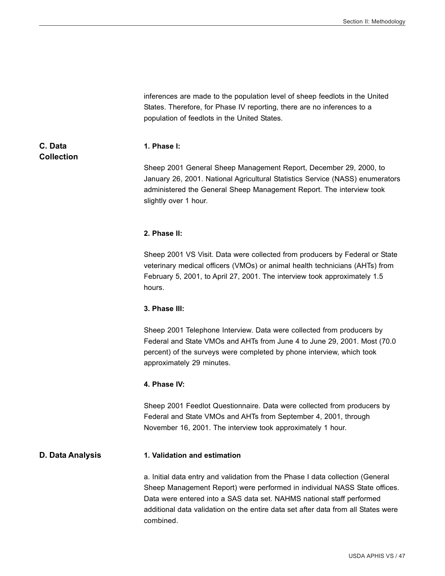inferences are made to the population level of sheep feedlots in the United States. Therefore, for Phase IV reporting, there are no inferences to a population of feedlots in the United States. **C. Data Collection 1. Phase I:** Sheep 2001 General Sheep Management Report, December 29, 2000, to January 26, 2001. National Agricultural Statistics Service (NASS) enumerators administered the General Sheep Management Report. The interview took slightly over 1 hour. **2. Phase II:** Sheep 2001 VS Visit. Data were collected from producers by Federal or State veterinary medical officers (VMOs) or animal health technicians (AHTs) from February 5, 2001, to April 27, 2001. The interview took approximately 1.5 hours. **3. Phase III:** Sheep 2001 Telephone Interview. Data were collected from producers by Federal and State VMOs and AHTs from June 4 to June 29, 2001. Most (70.0 percent) of the surveys were completed by phone interview, which took approximately 29 minutes. **4. Phase IV:** Sheep 2001 Feedlot Questionnaire. Data were collected from producers by Federal and State VMOs and AHTs from September 4, 2001, through November 16, 2001. The interview took approximately 1 hour. **D. Data Analysis 1. Validation and estimation** a. Initial data entry and validation from the Phase I data collection (General Sheep Management Report) were performed in individual NASS State offices. Data were entered into a SAS data set. NAHMS national staff performed additional data validation on the entire data set after data from all States were combined.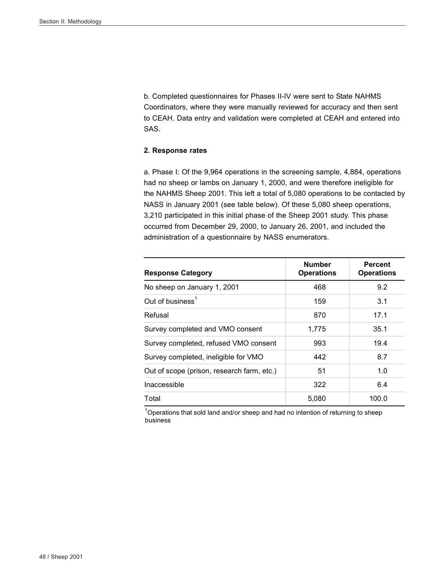b. Completed questionnaires for Phases II-IV were sent to State NAHMS Coordinators, where they were manually reviewed for accuracy and then sent to CEAH. Data entry and validation were completed at CEAH and entered into SAS.

#### **2. Response rates**

a. Phase I: Of the 9,964 operations in the screening sample, 4,884, operations had no sheep or lambs on January 1, 2000, and were therefore ineligible for the NAHMS Sheep 2001. This left a total of 5,080 operations to be contacted by NASS in January 2001 (see table below). Of these 5,080 sheep operations, 3,210 participated in this initial phase of the Sheep 2001 study. This phase occurred from December 29, 2000, to January 26, 2001, and included the administration of a questionnaire by NASS enumerators.

| <b>Response Category</b>                   | <b>Number</b><br><b>Operations</b> | Percent<br><b>Operations</b> |
|--------------------------------------------|------------------------------------|------------------------------|
| No sheep on January 1, 2001                | 468                                | 9.2                          |
| Out of business <sup>1</sup>               | 159                                | 3.1                          |
| Refusal                                    | 870                                | 17.1                         |
| Survey completed and VMO consent           | 1,775                              | 35.1                         |
| Survey completed, refused VMO consent      | 993                                | 19.4                         |
| Survey completed, ineligible for VMO       | 442                                | 8.7                          |
| Out of scope (prison, research farm, etc.) | 51                                 | 1.0                          |
| Inaccessible                               | 322                                | 6.4                          |
| Total                                      | 5.080                              | 100.0                        |

 $10$ perations that sold land and/or sheep and had no intention of returning to sheep business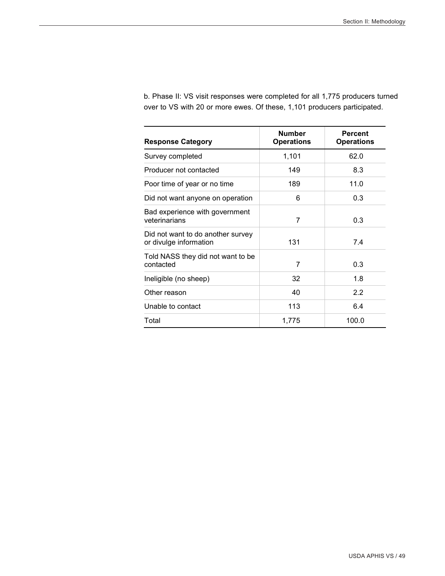| <b>Response Category</b>                                    | <b>Number</b><br><b>Operations</b> | <b>Percent</b><br><b>Operations</b> |
|-------------------------------------------------------------|------------------------------------|-------------------------------------|
| Survey completed                                            | 1,101                              | 62.0                                |
| Producer not contacted                                      | 149                                | 8.3                                 |
| Poor time of year or no time                                | 189                                | 11.0                                |
| Did not want anyone on operation                            | 6                                  | 0.3                                 |
| Bad experience with government<br>veterinarians             | 7                                  | 0.3                                 |
| Did not want to do another survey<br>or divulge information | 131                                | 7.4                                 |
| Told NASS they did not want to be<br>contacted              | 7                                  | 0.3                                 |
| Ineligible (no sheep)                                       | 32                                 | 1.8                                 |
| Other reason                                                | 40                                 | 2.2                                 |
| Unable to contact                                           | 113                                | 6.4                                 |
| Total                                                       | 1,775                              | 100.0                               |

b. Phase II: VS visit responses were completed for all 1,775 producers turned over to VS with 20 or more ewes. Of these, 1,101 producers participated.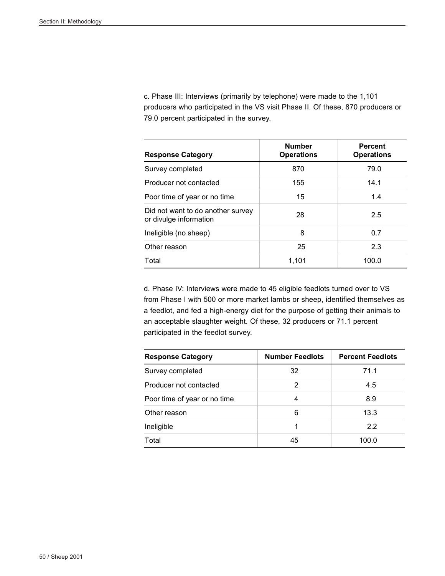c. Phase III: Interviews (primarily by telephone) were made to the 1,101 producers who participated in the VS visit Phase II. Of these, 870 producers or 79.0 percent participated in the survey.

| <b>Response Category</b>                                    | <b>Number</b><br><b>Operations</b> | <b>Percent</b><br><b>Operations</b> |
|-------------------------------------------------------------|------------------------------------|-------------------------------------|
| Survey completed                                            | 870                                | 79.0                                |
| Producer not contacted                                      | 155                                | 14.1                                |
| Poor time of year or no time                                | 15                                 | 1.4                                 |
| Did not want to do another survey<br>or divulge information | 28                                 | 2.5                                 |
| Ineligible (no sheep)                                       | 8                                  | 0.7                                 |
| Other reason                                                | 25                                 | 2.3                                 |
| Total                                                       | 1,101                              | 100.0                               |

d. Phase IV: Interviews were made to 45 eligible feedlots turned over to VS from Phase I with 500 or more market lambs or sheep, identified themselves as a feedlot, and fed a high-energy diet for the purpose of getting their animals to an acceptable slaughter weight. Of these, 32 producers or 71.1 percent participated in the feedlot survey.

| <b>Response Category</b>     | <b>Number Feedlots</b> | <b>Percent Feedlots</b> |  |
|------------------------------|------------------------|-------------------------|--|
| Survey completed             | 32                     | 71.1                    |  |
| Producer not contacted       | 2                      | 4.5                     |  |
| Poor time of year or no time | 4                      | 8.9                     |  |
| Other reason                 | 6                      | 13.3                    |  |
| Ineligible                   |                        | 2.2                     |  |
| Total                        | 45                     | 100.0                   |  |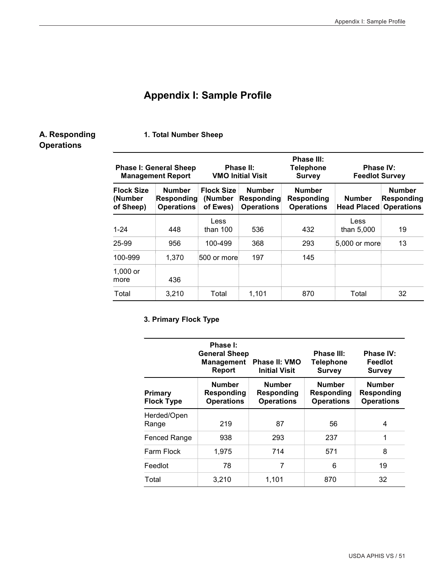#### **Appendix I: Sample Profile**

#### **A. Responding Operations**

**1. Total Number Sheep**

#### **Phase I: General Sheep Management Report Phase II: VMO Initial Visit Phase III: Telephone Survey Phase IV: Feedlot Survey Flock Size (Number of Sheep) Number Responding Operations Flock Size (Number of Ewes) Number Responding Operations Number Responding Operations Number Head Placed Operations Number Responding**  1-24 448 Less than  $100$  536 432 Less than  $5,000$  | 19 25-99 956 100-499 368 293 5,000 or more 13 100-999 1,370 500 or more 197 145 1,000 or more 436 Total 3,210 Total 1,101 870 Total 32

#### **3. Primary Flock Type**

|                              | Phase I:<br><b>General Sheep</b><br><b>Management</b><br>Report | Phase II: VMO<br><b>Initial Visit</b>                   | <b>Phase III:</b><br><b>Telephone</b><br><b>Survey</b> | <b>Phase IV:</b><br>Feedlot<br><b>Survey</b>     |
|------------------------------|-----------------------------------------------------------------|---------------------------------------------------------|--------------------------------------------------------|--------------------------------------------------|
| Primary<br><b>Flock Type</b> | <b>Number</b><br><b>Responding</b><br><b>Operations</b>         | <b>Number</b><br><b>Responding</b><br><b>Operations</b> | <b>Number</b><br>Responding<br><b>Operations</b>       | <b>Number</b><br>Responding<br><b>Operations</b> |
| Herded/Open<br>Range         | 219                                                             | 87                                                      | 56                                                     | 4                                                |
| <b>Fenced Range</b>          | 938                                                             | 293                                                     | 237                                                    | 1                                                |
| Farm Flock                   | 1,975                                                           | 714                                                     | 571                                                    | 8                                                |
| Feedlot                      | 78                                                              | 7                                                       | 6                                                      | 19                                               |
| Total                        | 3,210                                                           | 1,101                                                   | 870                                                    | 32                                               |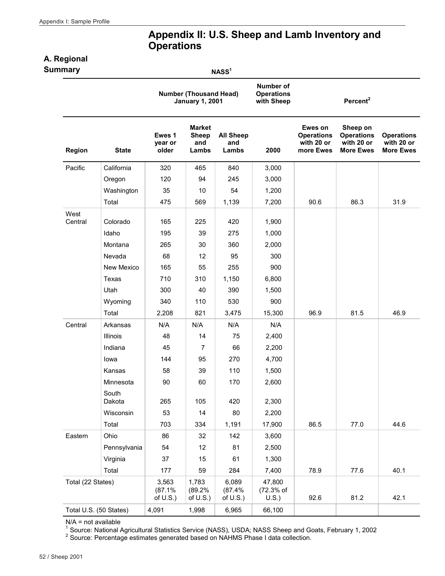#### **Appendix II: U.S. Sheep and Lamb Inventory and Operations**

#### **A. Regional**

| Summary           |                        |                                |                                                         | NASS <sup>1</sup>                |                                              |                                                         |                                                                 |                                                     |
|-------------------|------------------------|--------------------------------|---------------------------------------------------------|----------------------------------|----------------------------------------------|---------------------------------------------------------|-----------------------------------------------------------------|-----------------------------------------------------|
|                   |                        |                                | <b>Number (Thousand Head)</b><br><b>January 1, 2001</b> |                                  | Number of<br><b>Operations</b><br>with Sheep |                                                         | Percent <sup>2</sup>                                            |                                                     |
| Region            | <b>State</b>           | Ewes 1<br>vear or<br>older     | <b>Market</b><br><b>Sheep</b><br>and<br>Lambs           | <b>All Sheep</b><br>and<br>Lambs | 2000                                         | Ewes on<br><b>Operations</b><br>with 20 or<br>more Ewes | Sheep on<br><b>Operations</b><br>with 20 or<br><b>More Ewes</b> | <b>Operations</b><br>with 20 or<br><b>More Ewes</b> |
| Pacific           | California             | 320                            | 465                                                     | 840                              | 3,000                                        |                                                         |                                                                 |                                                     |
|                   | Oregon                 | 120                            | 94                                                      | 245                              | 3,000                                        |                                                         |                                                                 |                                                     |
|                   | Washington             | 35                             | 10                                                      | 54                               | 1,200                                        |                                                         |                                                                 |                                                     |
|                   | Total                  | 475                            | 569                                                     | 1,139                            | 7,200                                        | 90.6                                                    | 86.3                                                            | 31.9                                                |
| West              |                        |                                |                                                         |                                  |                                              |                                                         |                                                                 |                                                     |
| Central           | Colorado               | 165                            | 225                                                     | 420                              | 1,900                                        |                                                         |                                                                 |                                                     |
|                   | Idaho                  | 195                            | 39                                                      | 275                              | 1,000                                        |                                                         |                                                                 |                                                     |
|                   | Montana                | 265                            | 30                                                      | 360                              | 2,000                                        |                                                         |                                                                 |                                                     |
|                   | Nevada                 | 68                             | 12                                                      | 95                               | 300                                          |                                                         |                                                                 |                                                     |
|                   | New Mexico             | 165                            | 55                                                      | 255                              | 900                                          |                                                         |                                                                 |                                                     |
|                   | Texas                  | 710                            | 310                                                     | 1,150                            | 6,800                                        |                                                         |                                                                 |                                                     |
|                   | Utah                   | 300                            | 40                                                      | 390                              | 1,500                                        |                                                         |                                                                 |                                                     |
|                   | Wyoming                | 340                            | 110                                                     | 530                              | 900                                          |                                                         |                                                                 |                                                     |
|                   | Total                  | 2,208                          | 821                                                     | 3,475                            | 15,300                                       | 96.9                                                    | 81.5                                                            | 46.9                                                |
| Central           | Arkansas               | N/A                            | N/A                                                     | N/A                              | N/A                                          |                                                         |                                                                 |                                                     |
|                   | Illinois               | 48                             | 14                                                      | 75                               | 2,400                                        |                                                         |                                                                 |                                                     |
|                   | Indiana                | 45                             | $\overline{7}$                                          | 66                               | 2,200                                        |                                                         |                                                                 |                                                     |
|                   | lowa                   | 144                            | 95                                                      | 270                              | 4,700                                        |                                                         |                                                                 |                                                     |
|                   | Kansas                 | 58                             | 39                                                      | 110                              | 1,500                                        |                                                         |                                                                 |                                                     |
|                   | Minnesota              | 90                             | 60                                                      | 170                              | 2,600                                        |                                                         |                                                                 |                                                     |
|                   | South<br>Dakota        | 265                            | 105                                                     | 420                              | 2,300                                        |                                                         |                                                                 |                                                     |
|                   | Wisconsin              | 53                             | 14                                                      | 80                               | 2,200                                        |                                                         |                                                                 |                                                     |
|                   | Total                  | 703                            | 334                                                     | 1,191                            | 17,900                                       | 86.5                                                    | 77.0                                                            | 44.6                                                |
| Eastern           | Ohio                   | 86                             | 32                                                      | 142                              | 3,600                                        |                                                         |                                                                 |                                                     |
|                   | Pennsylvania           | 54                             | 12                                                      | 81                               | 2,500                                        |                                                         |                                                                 |                                                     |
|                   | Virginia               | 37                             | 15                                                      | 61                               | 1,300                                        |                                                         |                                                                 |                                                     |
|                   | Total                  | 177                            | 59                                                      | 284                              | 7,400                                        | 78.9                                                    | 77.6                                                            | 40.1                                                |
| Total (22 States) |                        | 3,563<br>(87.1%<br>of $U.S.$ ) | 1,783<br>(89.2%<br>of $U.S.$ )                          | 6,089<br>(87.4%<br>of $U.S.$ )   | 47,800<br>(72.3% of<br>U.S.)                 | 92.6                                                    | 81.2                                                            | 42.1                                                |
|                   | Total U.S. (50 States) | 4,091                          | 1,998                                                   | 6,965                            | 66,100                                       |                                                         |                                                                 |                                                     |

 $N/A$  = not available

<sup>1</sup> Source: National Agricultural Statistics Service (NASS), USDA; NASS Sheep and Goats, February 1, 2002<br><sup>2</sup> Source: Percentage estimates generated based on NAHMS Phase I data collection.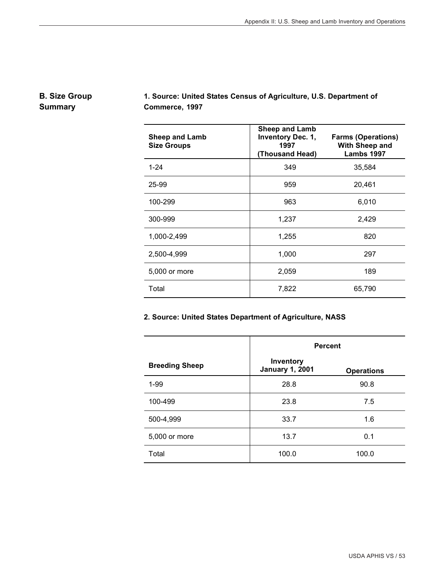#### **B. Size Group Summary**

## **1. Source: United States Census of Agriculture, U.S. Department of Commerce, 1997**

| <b>Sheep and Lamb</b><br><b>Size Groups</b> | <b>Sheep and Lamb</b><br><b>Inventory Dec. 1,</b><br>1997<br>(Thousand Head) | <b>Farms (Operations)</b><br>With Sheep and<br>Lambs 1997 |
|---------------------------------------------|------------------------------------------------------------------------------|-----------------------------------------------------------|
| $1 - 24$                                    | 349                                                                          | 35,584                                                    |
| 25-99                                       | 959                                                                          | 20,461                                                    |
| 100-299                                     | 963                                                                          | 6,010                                                     |
| 300-999                                     | 1,237                                                                        | 2,429                                                     |
| 1,000-2,499                                 | 1,255                                                                        | 820                                                       |
| 2,500-4,999                                 | 1,000                                                                        | 297                                                       |
| 5,000 or more                               | 2,059                                                                        | 189                                                       |
| Total                                       | 7,822                                                                        | 65,790                                                    |

#### **2. Source: United States Department of Agriculture, NASS**

|                       | <b>Percent</b>                      |                   |  |
|-----------------------|-------------------------------------|-------------------|--|
| <b>Breeding Sheep</b> | Inventory<br><b>January 1, 2001</b> | <b>Operations</b> |  |
| $1 - 99$              | 28.8                                | 90.8              |  |
| 100-499               | 23.8                                | 7.5               |  |
| 500-4,999             | 33.7                                | 1.6               |  |
| 5,000 or more         | 13.7                                | 0.1               |  |
| Total                 | 100.0                               | 100.0             |  |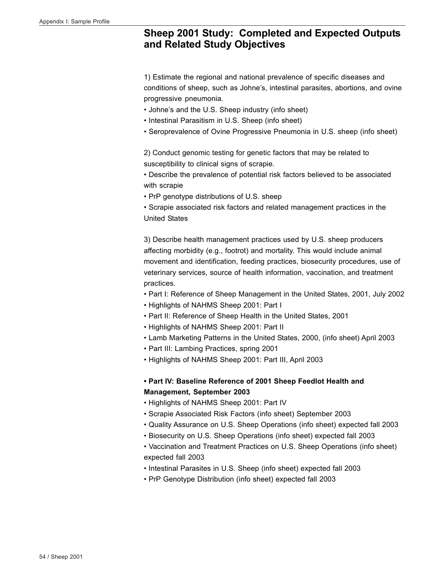#### **Sheep 2001 Study: Completed and Expected Outputs and Related Study Objectives**

1) Estimate the regional and national prevalence of specific diseases and conditions of sheep, such as Johne's, intestinal parasites, abortions, and ovine progressive pneumonia.

- Johne's and the U.S. Sheep industry (info sheet)
- Intestinal Parasitism in U.S. Sheep (info sheet)
- Seroprevalence of Ovine Progressive Pneumonia in U.S. sheep (info sheet)

2) Conduct genomic testing for genetic factors that may be related to susceptibility to clinical signs of scrapie.

• Describe the prevalence of potential risk factors believed to be associated with scrapie

• PrP genotype distributions of U.S. sheep

• Scrapie associated risk factors and related management practices in the United States

3) Describe health management practices used by U.S. sheep producers affecting morbidity (e.g., footrot) and mortality. This would include animal movement and identification, feeding practices, biosecurity procedures, use of veterinary services, source of health information, vaccination, and treatment practices.

- Part I: Reference of Sheep Management in the United States, 2001, July 2002
- Highlights of NAHMS Sheep 2001: Part I
- Part II: Reference of Sheep Health in the United States, 2001
- Highlights of NAHMS Sheep 2001: Part II
- Lamb Marketing Patterns in the United States, 2000, (info sheet) April 2003
- Part III: Lambing Practices, spring 2001
- Highlights of NAHMS Sheep 2001: Part III, April 2003

**• Part IV: Baseline Reference of 2001 Sheep Feedlot Health and Management, September 2003**

- Highlights of NAHMS Sheep 2001: Part IV
- Scrapie Associated Risk Factors (info sheet) September 2003
- Quality Assurance on U.S. Sheep Operations (info sheet) expected fall 2003
- Biosecurity on U.S. Sheep Operations (info sheet) expected fall 2003
- Vaccination and Treatment Practices on U.S. Sheep Operations (info sheet) expected fall 2003
- Intestinal Parasites in U.S. Sheep (info sheet) expected fall 2003
- PrP Genotype Distribution (info sheet) expected fall 2003